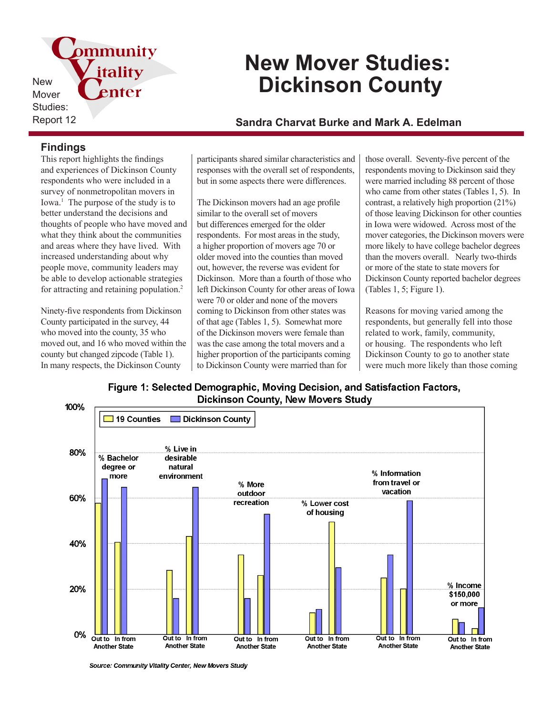ommunity itality New enter Mover Studies:

# **New Mover Studies: Dickinson County**

## Report 12 **Sandra Charvat Burke and Mark A. Edelman**

## **Findings**

This report highlights the findings and experiences of Dickinson County respondents who were included in a survey of nonmetropolitan movers in Iowa.<sup>1</sup> The purpose of the study is to better understand the decisions and thoughts of people who have moved and what they think about the communities and areas where they have lived. With increased understanding about why people move, community leaders may be able to develop actionable strategies for attracting and retaining population.<sup>2</sup>

Ninety-five respondents from Dickinson County participated in the survey, 44 who moved into the county, 35 who moved out, and 16 who moved within the county but changed zipcode (Table 1). In many respects, the Dickinson County

participants shared similar characteristics and responses with the overall set of respondents, but in some aspects there were differences.

The Dickinson movers had an age profile similar to the overall set of movers but differences emerged for the older respondents. For most areas in the study, a higher proportion of movers age 70 or older moved into the counties than moved out, however, the reverse was evident for Dickinson. More than a fourth of those who left Dickinson County for other areas of Iowa were 70 or older and none of the movers coming to Dickinson from other states was of that age (Tables 1, 5). Somewhat more of the Dickinson movers were female than was the case among the total movers and a higher proportion of the participants coming to Dickinson County were married than for

those overall. Seventy-five percent of the respondents moving to Dickinson said they were married including 88 percent of those who came from other states (Tables 1, 5). In contrast, a relatively high proportion (21%) of those leaving Dickinson for other counties in Iowa were widowed. Across most of the mover categories, the Dickinson movers were more likely to have college bachelor degrees than the movers overall. Nearly two-thirds or more of the state to state movers for Dickinson County reported bachelor degrees (Tables 1, 5; Figure 1).

Reasons for moving varied among the respondents, but generally fell into those related to work, family, community, or housing. The respondents who left Dickinson County to go to another state were much more likely than those coming

Figure 1: Selected Demographic, Moving Decision, and Satisfaction Factors, **Dickinson County, New Movers Study** 



Source: Community Vitality Center, New Movers Study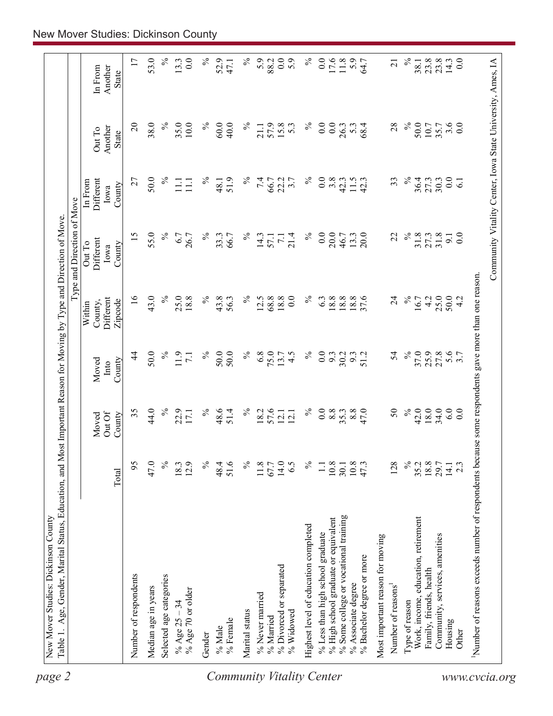| 17<br>53.0<br>$\%$<br>0.0<br>$\%$<br>$\%$<br>0.0<br>5.9<br>$\%$<br>0.0<br>$\%$<br>0.0<br>Community Vitality Center, Iowa State University, Ames, IA<br>52.9<br>5.9<br>17.6<br>5.9<br>23.8<br>23.8<br>14.3<br>13.3<br>88.2<br>64.7<br>38.1<br>47.1<br>$\overline{21}$<br>Another<br>In From<br><b>State</b><br>$\overline{c}$<br>38.0<br>$\%$<br>$\%$<br>50.0<br>3.6<br>$\%$<br>35.0<br>$10.0$<br>$\%$<br>60.0<br>57.9<br>15.8<br>$\%$<br>$\overline{0.0}$<br>0.0<br>28<br>40.0<br>$5.\overline{3}$<br>5.3<br>68.4<br>10.7<br>35.7<br>21.1<br>26.3<br>Another<br>Out To<br>State<br>50.0<br>$\%$<br>27<br>$\%$<br>$\%$<br>51.9<br>$\%$<br>7.4<br>22.2<br>℅<br>0.0<br>$3.\overline{8}$<br>33<br>36.4<br>27.3<br>30.3<br>$\ddot{0.0}$<br>66.7<br>11.5<br>42.3<br>Different<br>48.1<br>3.7<br>42.3<br>$\overline{61}$<br>$\Xi$<br>$\Xi$<br>In From<br>County<br>Iowa<br>$\%$<br>55.0<br>$\%$<br>$\%$<br>$\%$<br>0.0<br>20.0<br>15<br>$\%$<br>31.8<br>27.3<br>31.8<br>0.0<br>6.7<br>33.3<br>14.3<br>21.4<br>13.3<br>20.0<br>22<br>26.7<br>66.7<br>46.7<br>9.1<br>57.1<br>$\overline{z}$<br>Different<br>Out To<br>County<br>Iowa<br>Number of reasons exceeds number of respondents because some respondents gave more than one reason.<br>$\overline{0}$<br>43.0<br>$\%$<br>18.8<br>$\%$<br>$\begin{array}{c} 18.8 \\ 18.8 \end{array}$<br>$\%$<br>25.0<br>50.0<br>25.0<br>$\%$<br>12.5<br>0.0<br>6.3<br>18.8<br>37.6<br>4.2<br>18.8<br>$\%$<br>43.8<br>68.8<br>$\overline{24}$<br>16.7<br>56.3<br>4.2<br>Different<br>Zipcode<br>County,<br>Within<br>$\%$<br>$\%$<br>25.9<br>50.0<br>$\%$<br>$\%$<br>50.0<br>6.8<br>75.0<br>$\%$<br>54<br>37.0<br>27.8<br>5.6<br>4<br>11.9<br>50.0<br>13.7<br>4.5<br>0.0<br>9.3<br>30.2<br>$9.3$<br>51.2<br>7.1<br>County<br>Moved<br>Into<br>$\%$<br>34.0<br>44.0<br>$\%$<br>$\%$<br>$\%$<br>$\%$<br>$\mathcal{S}$<br>42.0<br>18.0<br>6.0<br>35<br>22.9<br>48.6<br>51.4<br>57.6<br>0.0<br>8.8<br>$8.8$<br>47.0<br>0.0<br>18.2<br>35.3<br>17.1<br>12.1<br>Out Of<br>12.1<br>County<br>Moved<br>$\%$<br>$\%$<br>$\%$<br>95<br>47.0<br>12.9<br>$\%$<br>$14.0$<br>$\%$<br>10.8<br>128<br>$18.8$<br>29.7<br>18.3<br>48.4<br>51.6<br>11.8<br>6.5<br>10.8<br>47.3<br>35.2<br>67.7<br>$2.\overline{3}$<br>$\Box$<br>30.1<br>14.1<br>Total<br>% Some college or vocational training<br>Work, income, education, retirement<br>% High school graduate or equivalent<br>Highest level of education completed<br>% Less than high school graduate<br>Community, services, amenities<br>Most important reason for moving<br>% Bachelor degree or more<br>% Divorced or separated<br>Family, friends, health<br>Number of respondents<br>Selected age categories<br>% Associate degree<br>Number of reasons<br>Median age in years<br>% Age 70 or older<br>% Never married<br>Type of reason<br>% Age $25 - 34$<br>Marital status<br>% Widowed<br>% Married<br>% Female<br>Housing<br>% Male<br>Other<br>Gender | page 2 | Table 1. Age, Gender, Marital Status, Education, and Most Important Reason for Moving by Type and Direction of Move. |  |  | Type and Direction of Move |  |  |
|----------------------------------------------------------------------------------------------------------------------------------------------------------------------------------------------------------------------------------------------------------------------------------------------------------------------------------------------------------------------------------------------------------------------------------------------------------------------------------------------------------------------------------------------------------------------------------------------------------------------------------------------------------------------------------------------------------------------------------------------------------------------------------------------------------------------------------------------------------------------------------------------------------------------------------------------------------------------------------------------------------------------------------------------------------------------------------------------------------------------------------------------------------------------------------------------------------------------------------------------------------------------------------------------------------------------------------------------------------------------------------------------------------------------------------------------------------------------------------------------------------------------------------------------------------------------------------------------------------------------------------------------------------------------------------------------------------------------------------------------------------------------------------------------------------------------------------------------------------------------------------------------------------------------------------------------------------------------------------------------------------------------------------------------------------------------------------------------------------------------------------------------------------------------------------------------------------------------------------------------------------------------------------------------------------------------------------------------------------------------------------------------------------------------------------------------------------------------------------------------------------------------------------------------------------------------------------------------------------------------------------------------------------------------------------------------------------------------------------------------------------------------------------------------------------------------------------------------------------------------------------------------------------------------------------|--------|----------------------------------------------------------------------------------------------------------------------|--|--|----------------------------|--|--|
|                                                                                                                                                                                                                                                                                                                                                                                                                                                                                                                                                                                                                                                                                                                                                                                                                                                                                                                                                                                                                                                                                                                                                                                                                                                                                                                                                                                                                                                                                                                                                                                                                                                                                                                                                                                                                                                                                                                                                                                                                                                                                                                                                                                                                                                                                                                                                                                                                                                                                                                                                                                                                                                                                                                                                                                                                                                                                                                                  |        |                                                                                                                      |  |  |                            |  |  |
|                                                                                                                                                                                                                                                                                                                                                                                                                                                                                                                                                                                                                                                                                                                                                                                                                                                                                                                                                                                                                                                                                                                                                                                                                                                                                                                                                                                                                                                                                                                                                                                                                                                                                                                                                                                                                                                                                                                                                                                                                                                                                                                                                                                                                                                                                                                                                                                                                                                                                                                                                                                                                                                                                                                                                                                                                                                                                                                                  |        |                                                                                                                      |  |  |                            |  |  |
| <b>Community Vitality Center</b><br>www.cvcia.org                                                                                                                                                                                                                                                                                                                                                                                                                                                                                                                                                                                                                                                                                                                                                                                                                                                                                                                                                                                                                                                                                                                                                                                                                                                                                                                                                                                                                                                                                                                                                                                                                                                                                                                                                                                                                                                                                                                                                                                                                                                                                                                                                                                                                                                                                                                                                                                                                                                                                                                                                                                                                                                                                                                                                                                                                                                                                |        |                                                                                                                      |  |  |                            |  |  |
|                                                                                                                                                                                                                                                                                                                                                                                                                                                                                                                                                                                                                                                                                                                                                                                                                                                                                                                                                                                                                                                                                                                                                                                                                                                                                                                                                                                                                                                                                                                                                                                                                                                                                                                                                                                                                                                                                                                                                                                                                                                                                                                                                                                                                                                                                                                                                                                                                                                                                                                                                                                                                                                                                                                                                                                                                                                                                                                                  |        |                                                                                                                      |  |  |                            |  |  |
|                                                                                                                                                                                                                                                                                                                                                                                                                                                                                                                                                                                                                                                                                                                                                                                                                                                                                                                                                                                                                                                                                                                                                                                                                                                                                                                                                                                                                                                                                                                                                                                                                                                                                                                                                                                                                                                                                                                                                                                                                                                                                                                                                                                                                                                                                                                                                                                                                                                                                                                                                                                                                                                                                                                                                                                                                                                                                                                                  |        |                                                                                                                      |  |  |                            |  |  |
|                                                                                                                                                                                                                                                                                                                                                                                                                                                                                                                                                                                                                                                                                                                                                                                                                                                                                                                                                                                                                                                                                                                                                                                                                                                                                                                                                                                                                                                                                                                                                                                                                                                                                                                                                                                                                                                                                                                                                                                                                                                                                                                                                                                                                                                                                                                                                                                                                                                                                                                                                                                                                                                                                                                                                                                                                                                                                                                                  |        |                                                                                                                      |  |  |                            |  |  |
|                                                                                                                                                                                                                                                                                                                                                                                                                                                                                                                                                                                                                                                                                                                                                                                                                                                                                                                                                                                                                                                                                                                                                                                                                                                                                                                                                                                                                                                                                                                                                                                                                                                                                                                                                                                                                                                                                                                                                                                                                                                                                                                                                                                                                                                                                                                                                                                                                                                                                                                                                                                                                                                                                                                                                                                                                                                                                                                                  |        |                                                                                                                      |  |  |                            |  |  |
|                                                                                                                                                                                                                                                                                                                                                                                                                                                                                                                                                                                                                                                                                                                                                                                                                                                                                                                                                                                                                                                                                                                                                                                                                                                                                                                                                                                                                                                                                                                                                                                                                                                                                                                                                                                                                                                                                                                                                                                                                                                                                                                                                                                                                                                                                                                                                                                                                                                                                                                                                                                                                                                                                                                                                                                                                                                                                                                                  |        |                                                                                                                      |  |  |                            |  |  |
|                                                                                                                                                                                                                                                                                                                                                                                                                                                                                                                                                                                                                                                                                                                                                                                                                                                                                                                                                                                                                                                                                                                                                                                                                                                                                                                                                                                                                                                                                                                                                                                                                                                                                                                                                                                                                                                                                                                                                                                                                                                                                                                                                                                                                                                                                                                                                                                                                                                                                                                                                                                                                                                                                                                                                                                                                                                                                                                                  |        |                                                                                                                      |  |  |                            |  |  |
|                                                                                                                                                                                                                                                                                                                                                                                                                                                                                                                                                                                                                                                                                                                                                                                                                                                                                                                                                                                                                                                                                                                                                                                                                                                                                                                                                                                                                                                                                                                                                                                                                                                                                                                                                                                                                                                                                                                                                                                                                                                                                                                                                                                                                                                                                                                                                                                                                                                                                                                                                                                                                                                                                                                                                                                                                                                                                                                                  |        |                                                                                                                      |  |  |                            |  |  |
|                                                                                                                                                                                                                                                                                                                                                                                                                                                                                                                                                                                                                                                                                                                                                                                                                                                                                                                                                                                                                                                                                                                                                                                                                                                                                                                                                                                                                                                                                                                                                                                                                                                                                                                                                                                                                                                                                                                                                                                                                                                                                                                                                                                                                                                                                                                                                                                                                                                                                                                                                                                                                                                                                                                                                                                                                                                                                                                                  |        |                                                                                                                      |  |  |                            |  |  |
|                                                                                                                                                                                                                                                                                                                                                                                                                                                                                                                                                                                                                                                                                                                                                                                                                                                                                                                                                                                                                                                                                                                                                                                                                                                                                                                                                                                                                                                                                                                                                                                                                                                                                                                                                                                                                                                                                                                                                                                                                                                                                                                                                                                                                                                                                                                                                                                                                                                                                                                                                                                                                                                                                                                                                                                                                                                                                                                                  |        |                                                                                                                      |  |  |                            |  |  |
|                                                                                                                                                                                                                                                                                                                                                                                                                                                                                                                                                                                                                                                                                                                                                                                                                                                                                                                                                                                                                                                                                                                                                                                                                                                                                                                                                                                                                                                                                                                                                                                                                                                                                                                                                                                                                                                                                                                                                                                                                                                                                                                                                                                                                                                                                                                                                                                                                                                                                                                                                                                                                                                                                                                                                                                                                                                                                                                                  |        |                                                                                                                      |  |  |                            |  |  |
|                                                                                                                                                                                                                                                                                                                                                                                                                                                                                                                                                                                                                                                                                                                                                                                                                                                                                                                                                                                                                                                                                                                                                                                                                                                                                                                                                                                                                                                                                                                                                                                                                                                                                                                                                                                                                                                                                                                                                                                                                                                                                                                                                                                                                                                                                                                                                                                                                                                                                                                                                                                                                                                                                                                                                                                                                                                                                                                                  |        |                                                                                                                      |  |  |                            |  |  |
|                                                                                                                                                                                                                                                                                                                                                                                                                                                                                                                                                                                                                                                                                                                                                                                                                                                                                                                                                                                                                                                                                                                                                                                                                                                                                                                                                                                                                                                                                                                                                                                                                                                                                                                                                                                                                                                                                                                                                                                                                                                                                                                                                                                                                                                                                                                                                                                                                                                                                                                                                                                                                                                                                                                                                                                                                                                                                                                                  |        |                                                                                                                      |  |  |                            |  |  |
|                                                                                                                                                                                                                                                                                                                                                                                                                                                                                                                                                                                                                                                                                                                                                                                                                                                                                                                                                                                                                                                                                                                                                                                                                                                                                                                                                                                                                                                                                                                                                                                                                                                                                                                                                                                                                                                                                                                                                                                                                                                                                                                                                                                                                                                                                                                                                                                                                                                                                                                                                                                                                                                                                                                                                                                                                                                                                                                                  |        |                                                                                                                      |  |  |                            |  |  |
|                                                                                                                                                                                                                                                                                                                                                                                                                                                                                                                                                                                                                                                                                                                                                                                                                                                                                                                                                                                                                                                                                                                                                                                                                                                                                                                                                                                                                                                                                                                                                                                                                                                                                                                                                                                                                                                                                                                                                                                                                                                                                                                                                                                                                                                                                                                                                                                                                                                                                                                                                                                                                                                                                                                                                                                                                                                                                                                                  |        |                                                                                                                      |  |  |                            |  |  |
|                                                                                                                                                                                                                                                                                                                                                                                                                                                                                                                                                                                                                                                                                                                                                                                                                                                                                                                                                                                                                                                                                                                                                                                                                                                                                                                                                                                                                                                                                                                                                                                                                                                                                                                                                                                                                                                                                                                                                                                                                                                                                                                                                                                                                                                                                                                                                                                                                                                                                                                                                                                                                                                                                                                                                                                                                                                                                                                                  |        |                                                                                                                      |  |  |                            |  |  |
|                                                                                                                                                                                                                                                                                                                                                                                                                                                                                                                                                                                                                                                                                                                                                                                                                                                                                                                                                                                                                                                                                                                                                                                                                                                                                                                                                                                                                                                                                                                                                                                                                                                                                                                                                                                                                                                                                                                                                                                                                                                                                                                                                                                                                                                                                                                                                                                                                                                                                                                                                                                                                                                                                                                                                                                                                                                                                                                                  |        |                                                                                                                      |  |  |                            |  |  |
|                                                                                                                                                                                                                                                                                                                                                                                                                                                                                                                                                                                                                                                                                                                                                                                                                                                                                                                                                                                                                                                                                                                                                                                                                                                                                                                                                                                                                                                                                                                                                                                                                                                                                                                                                                                                                                                                                                                                                                                                                                                                                                                                                                                                                                                                                                                                                                                                                                                                                                                                                                                                                                                                                                                                                                                                                                                                                                                                  |        |                                                                                                                      |  |  |                            |  |  |
|                                                                                                                                                                                                                                                                                                                                                                                                                                                                                                                                                                                                                                                                                                                                                                                                                                                                                                                                                                                                                                                                                                                                                                                                                                                                                                                                                                                                                                                                                                                                                                                                                                                                                                                                                                                                                                                                                                                                                                                                                                                                                                                                                                                                                                                                                                                                                                                                                                                                                                                                                                                                                                                                                                                                                                                                                                                                                                                                  |        |                                                                                                                      |  |  |                            |  |  |
|                                                                                                                                                                                                                                                                                                                                                                                                                                                                                                                                                                                                                                                                                                                                                                                                                                                                                                                                                                                                                                                                                                                                                                                                                                                                                                                                                                                                                                                                                                                                                                                                                                                                                                                                                                                                                                                                                                                                                                                                                                                                                                                                                                                                                                                                                                                                                                                                                                                                                                                                                                                                                                                                                                                                                                                                                                                                                                                                  |        |                                                                                                                      |  |  |                            |  |  |
|                                                                                                                                                                                                                                                                                                                                                                                                                                                                                                                                                                                                                                                                                                                                                                                                                                                                                                                                                                                                                                                                                                                                                                                                                                                                                                                                                                                                                                                                                                                                                                                                                                                                                                                                                                                                                                                                                                                                                                                                                                                                                                                                                                                                                                                                                                                                                                                                                                                                                                                                                                                                                                                                                                                                                                                                                                                                                                                                  |        |                                                                                                                      |  |  |                            |  |  |
|                                                                                                                                                                                                                                                                                                                                                                                                                                                                                                                                                                                                                                                                                                                                                                                                                                                                                                                                                                                                                                                                                                                                                                                                                                                                                                                                                                                                                                                                                                                                                                                                                                                                                                                                                                                                                                                                                                                                                                                                                                                                                                                                                                                                                                                                                                                                                                                                                                                                                                                                                                                                                                                                                                                                                                                                                                                                                                                                  |        |                                                                                                                      |  |  |                            |  |  |
|                                                                                                                                                                                                                                                                                                                                                                                                                                                                                                                                                                                                                                                                                                                                                                                                                                                                                                                                                                                                                                                                                                                                                                                                                                                                                                                                                                                                                                                                                                                                                                                                                                                                                                                                                                                                                                                                                                                                                                                                                                                                                                                                                                                                                                                                                                                                                                                                                                                                                                                                                                                                                                                                                                                                                                                                                                                                                                                                  |        |                                                                                                                      |  |  |                            |  |  |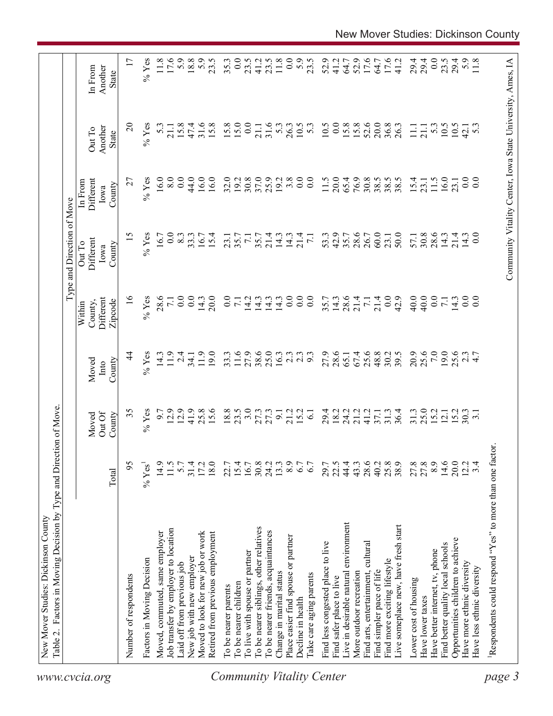| Table 2. Factors in Moving Decision by Type and Direction of Move<br>New Mover Studies: Dickinson County<br>www.cvcia.org |         |                            |                         |                                           | Type and Direction of Move            |                                                            |                                   |                             |
|---------------------------------------------------------------------------------------------------------------------------|---------|----------------------------|-------------------------|-------------------------------------------|---------------------------------------|------------------------------------------------------------|-----------------------------------|-----------------------------|
|                                                                                                                           | Total   | Out Of<br>County<br>Moved  | County<br>Moved<br>Into | Different<br>Zipcode<br>County,<br>Within | Different<br>Out To<br>County<br>Iowa | Different<br>In From<br>County<br>Iowa                     | Another<br>Out To<br><b>State</b> | Another<br>In From<br>State |
| Number of respondents                                                                                                     | 95      | 35                         | 4                       | $\frac{6}{2}$                             | 15                                    | 27                                                         | $\Omega$                          |                             |
| Factors in Moving Decision                                                                                                | $%$ Yes | $%$ Yes                    | $%$ Yes                 | $%$ Yes                                   | $%$ Yes                               | $%$ Yes                                                    | $%$ Yes                           | $%$ Yes                     |
| Moved, commuted, same employer                                                                                            | 14.9    | 6.7                        | 14.3                    | 28.6                                      | 16.7                                  | 16.0                                                       | 5.3                               | 11.8                        |
| Job transfer by employer to location                                                                                      | 11.5    | 12.9                       | 11.9                    | $\overline{7.1}$                          | $\overline{0}$ .                      | 8.0                                                        | $21.1\,$                          | 17.6                        |
| Laid off from previous job                                                                                                | 5.7     | 12.9                       | 2.4                     | $\overline{0.0}$                          | $8.\overline{3}$                      | 0.0                                                        | 15.8                              | $5.9$<br>18.8               |
| New job with new employer                                                                                                 | 31.4    | 41.9                       | 34.1                    | 0.0                                       | 33.3                                  | 44.0                                                       | 47.4                              |                             |
| Moved to look for new job or work                                                                                         | 17.2    | 25.8                       | 11.9                    | 14.3                                      | 16.7                                  | 16.0                                                       | 31.6                              | 5.9                         |
| Retired from previous employment                                                                                          | 18.0    | 15.6                       | 19.0                    | 20.0                                      | 15.4                                  | 16.0                                                       | 15.8                              | 23.5                        |
| To be nearer parents<br><b>Community Vitality Center</b>                                                                  | 22.7    |                            | 33.3                    | $\overline{0}$ .                          | 23.1                                  | 32.0                                                       | 15.8                              | 35.3                        |
| To be nearer children                                                                                                     | 15.4    | $18.8$<br>23.5             | $11.6\,$                | $7.1\,$                                   | 35.7                                  | 19.2                                                       | 15.0                              | 0.0                         |
| To live with spouse or partner                                                                                            | 16.7    | 3.0                        | 27.9                    | 14.2                                      | $\overline{7}$ .                      | 30.8                                                       | 0.0                               | 23.5                        |
| To be nearer siblings, other relatives                                                                                    | 30.8    | 27.3                       | 38.6                    | 14.3                                      | 35.7                                  | 37.0                                                       | 21.1                              | 41.2                        |
| To be nearer friends, acquaintances                                                                                       | 24.2    |                            | 25.0                    | 14.3                                      | 21.4                                  | 25.9                                                       | 31.6                              | 23.5                        |
| Change in marital status                                                                                                  | 13.3    | 9.1                        | 16.3                    | 14.3                                      | 14.3                                  | 19.2                                                       | 5.3                               | $11.8$                      |
| Place easier find spouse or partner                                                                                       | 8.9     | 21.2                       | $2.\overline{3}$        | 0.0                                       | 14.3                                  | 3.8                                                        | 26.3                              | 0.0                         |
| Decline in health                                                                                                         | 6.7     | 15.2                       | 2.3                     | $\overline{0.0}$                          | 21.4                                  | 0.0                                                        | 10.5                              |                             |
| l'ake care aging parents                                                                                                  | 6.7     | $\overline{61}$            |                         | $\overline{0}$ .                          | $\overline{71}$                       | $\overline{0}$ .                                           | $5.\overline{3}$                  | $5.9$<br>$23.5$             |
| Find less congested place to live                                                                                         | 29.7    | 29.4                       | 27.9                    |                                           | 53.3                                  | 11.5                                                       | 10.5                              | 52.9                        |
| Find safer place to live                                                                                                  | 22.5    | 18.2                       | 28.6                    | $35.7$<br>14.3                            | 42.9                                  | 20.0                                                       | 0.0                               | 41.2                        |
| Live in desirable natural environment                                                                                     | 44.4    | 24.2                       | 65.1                    | 28.6                                      | 35.7                                  | 65.4                                                       | 15.8                              | 64.7                        |
| More outdoor recreation                                                                                                   | 43.3    | 21.2                       | 67.4                    | 21.4                                      | 28.6                                  | 76.9                                                       | 15.8                              | 52.9                        |
| Find arts, entertainment, cultural                                                                                        | 28.6    | 41.2                       | 25.6                    | $\overline{7}$ .                          | 26.7                                  | 30.8                                                       | 52.6                              | 17.6                        |
| Find simpler pace of life                                                                                                 | 40.2    | 37.1                       | 48.8                    | 21.4                                      | 60.0                                  | 38.5                                                       | 20.0                              | 64.7                        |
| Find more exciting lifestyle                                                                                              | 25.8    | 31.3                       | 30.2                    | 0.0                                       | 23.1                                  | $38.5$<br>38.5                                             | 36.8                              | $17.6$                      |
| Live someplace new, have fresh start                                                                                      | 38.9    | 36.4                       | 39.5                    | 42.9                                      | 50.0                                  |                                                            | 26.3                              | 41.2                        |
| Lower cost of housing                                                                                                     | 27.8    | 31.3                       | 20.9                    | 40.0                                      | 57.1                                  | 15.4                                                       | $\Xi$                             | 29.4                        |
| Have lower taxes                                                                                                          | 27.8    | 25.0                       | 25.6                    | 40.0                                      | 30.8                                  | 23.1                                                       | 21.1                              | 29.4                        |
| Have better internet, tv, phone                                                                                           | $8.9\,$ |                            | 7.0                     | 0.0                                       | 28.6                                  | 11.5                                                       | 53                                | 0.0                         |
| Find better quality local schools                                                                                         | 14.6    | $15.2$<br>$12.1$<br>$15.2$ | 19.0                    | $\frac{7.3}{14.3}$                        | 14.3                                  | 16.0                                                       | 10.5                              | 23.5                        |
| Opportunities children to achieve                                                                                         | 20.0    |                            | 25.6                    |                                           | 21.4                                  | 23.1                                                       | 10.5                              | 29.4                        |
| Have more ethnic diversity                                                                                                | 12.2    | 30.3                       |                         | $\overline{0.0}$                          | 14.3                                  | $\ddot{0}$ .                                               | 42.1                              |                             |
| Have less ethnic diversity                                                                                                | 3.4     |                            | $\frac{2.7}{4.7}$       | $\overline{0}$ .                          | 0.0                                   | 0.0                                                        | 5.3                               | 5.9<br>11.8                 |
| Respondents could respond "Yes" to more than one factor                                                                   |         |                            |                         |                                           |                                       |                                                            |                                   |                             |
|                                                                                                                           |         |                            |                         |                                           |                                       |                                                            |                                   |                             |
| page 3                                                                                                                    |         |                            |                         |                                           |                                       | Community Vitality Center, Iowa State University, Ames, IA |                                   |                             |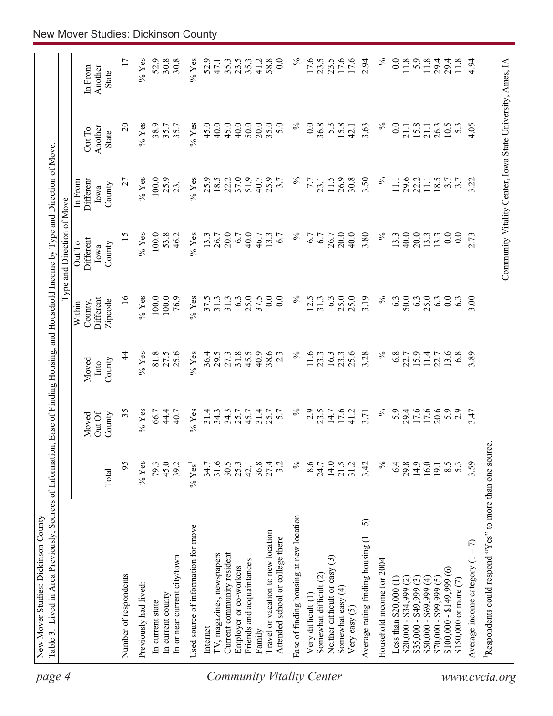| page 4                    | Table 3. Lived in Area Previously, Sources of Information, Ease of Finding Housing, and Household Income by Type and Direction of Move.<br>New Mover Studies: Dickinson County |                      |                      |                          |                                |                                                            |                              |                   |                          |
|---------------------------|--------------------------------------------------------------------------------------------------------------------------------------------------------------------------------|----------------------|----------------------|--------------------------|--------------------------------|------------------------------------------------------------|------------------------------|-------------------|--------------------------|
|                           |                                                                                                                                                                                |                      |                      |                          |                                | Type and Direction of Move                                 |                              |                   |                          |
|                           |                                                                                                                                                                                |                      | OutOf<br>Moved       | Moved<br>Into            | Different<br>County,<br>Within | Different<br>Out To<br>Iowa                                | Different<br>In From<br>Iowa | Another<br>Out To | Another<br>In From       |
|                           |                                                                                                                                                                                | Total                | County               | County                   | Zipcode                        | County                                                     | County                       | <b>State</b>      | State                    |
|                           | Number of respondents                                                                                                                                                          | 95                   | 35                   | 4                        | $\geq$                         | 15                                                         | 27                           | $\overline{c}$    | 17                       |
|                           | Previously had lived:                                                                                                                                                          | $%$ Yes              | $%$ Yes              | $%$ Yes                  | $%$ Yes                        | $%$ Yes                                                    | $%$ Yes                      | $%$ Yes           | $%$ Yes                  |
|                           | In current state                                                                                                                                                               | 79.3                 | 66.7                 | 81.8                     | 100.0                          | 100.0                                                      | 100.0                        | 38.9              | 52.9                     |
|                           | In current county                                                                                                                                                              | 45.0                 | 44.4                 | 27.5                     | 100.0                          | 53.8                                                       | 25.9                         | 35.7              | 30.8                     |
|                           | In or near current city/town                                                                                                                                                   | 39.2                 | 40.7                 | 25.6                     | 76.9                           | 46.2                                                       | 23.1                         | 35.7              | 30.8                     |
|                           | Used source of information for move                                                                                                                                            | $%$ Yes <sup>1</sup> | $\%$ Yes             | $%$ Yes                  | $\%$ Yes                       | $%$ Yes                                                    | $%$ Yes                      | $%$ Yes           | $%$ Yes                  |
|                           | Internet                                                                                                                                                                       | 34.7                 |                      | 36.4                     | 37.5                           | 13.3                                                       | 25.9                         | 45.0              | 52.9                     |
|                           | IV, magazines, newspapers                                                                                                                                                      | 31.6                 | $31.4$<br>$34.3$     | 29.5                     | 31.3                           | 26.7                                                       | 18.5                         | 40.0              | 47.1                     |
|                           | Current community resident                                                                                                                                                     | 30.5                 | 34.3                 | 27.3                     | 31.3                           | 20.0                                                       | 22.2                         | 45.0              | 35.3                     |
|                           | Employer or co-workers                                                                                                                                                         | 25.3                 | 25.7                 | 31.8                     | 6.3                            | 6.7                                                        | 37.0                         | 40.0              | 23.5                     |
|                           | Friends and acquaintances                                                                                                                                                      | 42.1                 | 45.7                 | 45.5                     | 25.0                           | 40.0                                                       | 51.9                         | 50.0              | 35.3                     |
|                           | Family                                                                                                                                                                         | 36.8                 | 31.4                 | 40.9                     | 37.5                           | 46.7                                                       | 40.7                         | 20.0              | 41.2                     |
| Community Vitality Center | Travel or vacation to new location<br>Attended school or college there                                                                                                         | 27.4<br>3.2          | 5.7<br>25.7          | 38.6<br>$2.\overline{3}$ | 0.0<br>$\overline{0}$ .        | 13.3<br>6.7                                                | 25.9<br>3.7                  | 35.0<br>5.0       | 58.8<br>$\overline{0.0}$ |
|                           | Ease of finding housing at new location                                                                                                                                        | $\%$                 | $\%$                 | $\frac{5}{6}$            | $\%$                           | $\%$                                                       | $\%$                         | $\%$              | $\%$                     |
|                           | Very difficult (1)                                                                                                                                                             | 8.6                  | 2.9                  | 11.6                     | 12.5                           | 6.7                                                        | 7.7                          | 0.0               | 17.6                     |
|                           | Somewhat difficult (2)                                                                                                                                                         | 24.7                 | 23.5                 | 23.3                     | 31.3                           | 6.7                                                        | 23.1                         | 36.8              | 23.5                     |
|                           | $\widehat{\mathbb{C}}$<br>Neither difficult or easy                                                                                                                            | 14.0                 | 14.7                 | 16.3                     | 6.3                            | 26.7                                                       | 11.5                         | 5.3               | 23.5                     |
|                           | Somewhat easy (4)<br>Very easy $(5)$                                                                                                                                           | 21.5<br>31.2         | 17.6<br>41.2         | 25.6<br>23.3             | 25.0<br>25.0                   | 20.0<br>40.0                                               | 26.9<br>30.8                 | 15.8<br>42.1      | 17.6<br>17.6             |
|                           | 5<br>Average rating finding housing (1                                                                                                                                         | 3.42                 | 3.71                 | 3.28                     | 3.19                           | 3.80                                                       | 3.50                         | 3.63              | 2.94                     |
|                           | Household income for 2004                                                                                                                                                      | $\%$                 | $\%$                 | $\%$                     | $\%$                           | $\%$                                                       | $\%$                         | $\%$              | $\%$                     |
|                           | Less than $$20,000(1)$                                                                                                                                                         | 6.4                  | 5.9                  | 6.8                      | 63                             | 13.3                                                       | $\Box$                       | $\overline{0}$ .  | 0.0                      |
|                           | $$20,000 - $34,999$ (2)                                                                                                                                                        | 29.8                 |                      | 22.7                     | 50.0                           | 40.0                                                       | 29.6                         | 21.1              | 11.8                     |
|                           | $$35,000 - $49,999(3)$                                                                                                                                                         | 14.9                 | 29.4<br>17.6<br>17.6 | 15.9                     | 6.3                            | 20.0                                                       | 22.2                         | 15.8              | 5.9                      |
|                           | $$50,000 - $69,999 (4)$<br>$$70,000 - $99,999 (5)$                                                                                                                             | 16.0                 |                      | 11.4                     | 25.0                           | 13.3                                                       | 111                          | 21.1              | 11.8                     |
|                           |                                                                                                                                                                                | 191                  | 20.6                 | 22.7                     | 63                             | 13.3                                                       | 18.5                         | 26.3              | $29.4$<br>29.4           |
|                           | $$100,000 - $149,999(6)$                                                                                                                                                       | 8.5<br>53            |                      | 13.6<br>6.8              | 0.0                            | $\overline{0}$ .<br>$\overline{0.0}$                       | $\overline{3.7}$             | 10.5              | 11.8                     |
|                           | \$150,000 or more (7)                                                                                                                                                          |                      | 2.9                  |                          | 63                             |                                                            | 3.7                          | 5.3               |                          |
|                           | Average income category $(1 - 7)$                                                                                                                                              | 3.59                 | 3.47                 | 3.89                     | 3.00                           | 2.73                                                       | 3.22                         | 4.05              | 4.94                     |
|                           | Respondents could respond "Yes" to more than one source                                                                                                                        |                      |                      |                          |                                |                                                            |                              |                   |                          |
| www.cvcia.org             |                                                                                                                                                                                |                      |                      |                          |                                | Community Vitality Center, Iowa State University, Ames, IA |                              |                   |                          |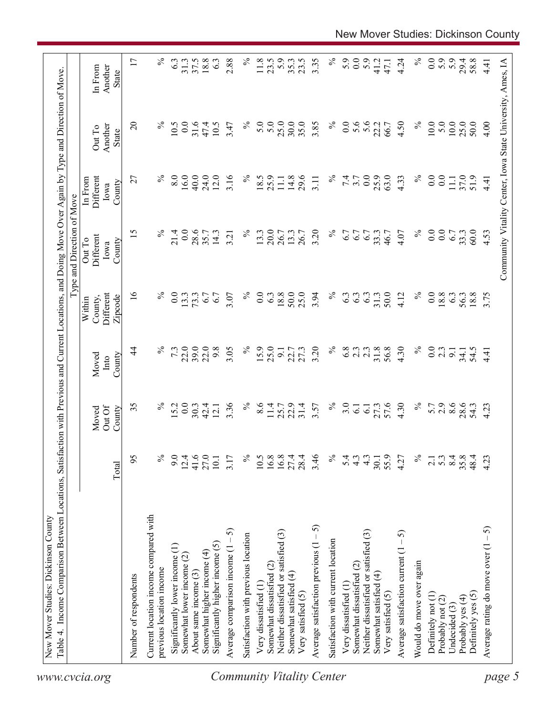| $37.5$<br>18.8<br>11.8<br>47.1<br><b>State</b><br>$\%$<br>5.6<br>25.0<br>$\Omega$<br>$\%$<br>0.0<br>31.6<br>$\%$<br>5.0<br>5.0<br>25.0<br>30.0<br>35.0<br>$\overline{0}$ .<br>22.2<br>$\%$<br>10.0<br>5.0<br>$10.0\,$<br>4.00<br>10.5<br>47.4<br>10.5<br>3.47<br>3.85<br>66.7<br>4.50<br>50.0<br>Another<br>Out To<br>State<br>8.0<br>16.0<br>3.16<br>$\%$<br>$\%$<br>0.0<br>$\%$<br>0.0<br>$\%$<br>40.0<br>24.0<br>12.0<br>18.5<br>25.9<br>14.8<br>29.6<br>7.4<br>25.9<br>63.0<br>$\overline{0}$ .<br>$11.1$<br>$37.0$<br>Different<br>27<br>3.7<br>4.33<br>51.9<br>$\Xi$<br>3.11<br>4.41<br>In From<br>County<br>Iowa<br>$\%$<br>$\%$<br>$\%$<br>$\%$<br>0.0<br>28.6<br>20.0<br>3.20<br>$\overline{0}$ .<br>0.0<br>15<br>21.4<br>14.3<br>13.3<br>26.7<br>6.7<br>33.3<br>46.7<br>$6.7$<br>33.3<br>60.0<br>4.53<br>35.7<br>13.3<br>26.7<br>6.7<br>4.07<br>3.21<br>Different<br>Out To<br>County<br>Iowa<br>$\overline{16}$<br>$\%$<br>25.0<br>$\%$<br>50.0<br>$\%$<br>Different<br>$\%$<br>$\overline{0}$ .<br>0.0<br>6.3<br>18.8<br>50.0<br>3.94<br>6.3<br>31.3<br>0.0<br>18.8<br>13.3<br>73.3<br>6.7<br>3.07<br>63<br>6.3<br>4.12<br>63<br>56.3<br>18.8<br>3.75<br>6.7<br>Zipcode<br>County,<br>Within<br>$\%$<br>22.0<br>39.0<br>22.0<br>9.8<br>3.05<br>$\%$<br>25.0<br>3.20<br>31.8<br>56.8<br>4.30<br>$\overline{4}$<br>$\%$<br>7.3<br>15.9<br>27.3<br>6.8<br>2.3<br>$\%$<br>0.0<br>2.3<br>$2.\overline{3}$<br>54.5<br>$\overline{9}$<br>22.7<br>$\overline{9}$ .<br>34.1<br>4.41<br>Moved<br>County<br>Into<br>35<br>3.36<br>$\%$<br>$\%$<br>57.6<br>4.30<br>$\%$<br>8.6<br>$\%$<br>15.2<br>0.0<br>8.6<br>22.9<br>31.4<br>3.0<br>5.7<br>2.9<br>28.6<br>25.7<br>3.57<br>27.3<br>54.3<br>30.3<br>42.4<br>11.4<br>$\overline{6}$<br>4.23<br>12.1<br>$\overline{6}$<br>OutOf<br>Moved<br>County<br>9.0<br>$12.4$<br>41.6<br>27.0<br>10.1<br>$10.5$<br>16.8<br>16.8<br>3.46<br>$\frac{5}{6}$<br>$4.\overline{3}$<br>$4.\overline{3}$<br>30.1<br>55.9<br>4.27<br>2.1<br>$\%$<br>$\%$<br>27.4<br>28.4<br>5.4<br>$\%$<br>$5.\overline{3}$<br>8.4<br>95<br>3.17<br>35.8<br>48.4<br>4.23<br>Total<br>Current location income compared with<br>Average satisfaction previous $(1 - 5)$<br>Average rating do move over $(1 - 5)$<br>5<br>Neither dissatisfied or satisfied (3)<br>Neither dissatisfied or satisfied (3)<br>Average satisfaction current $(1 - 5)$<br>Satisfaction with previous location<br>Average comparison income (1 -<br>Satisfaction with current location<br>Significantly higher income (5)<br>Significantly lower income (1)<br>Somewhat higher income (4)<br>Somewhat lower income $(2)$<br>Would do move over again<br>Somewhat dissatisfied (2)<br>Somewhat dissatisfied (2)<br>previous location income<br>About same income (3)<br>Somewhat satisfied (4)<br>Somewhat satisfied (4)<br>Number of respondents<br>Very dissatisfied (1)<br>Very dissatisfied (1<br>Definitely yes (5)<br>Very satisfied (5)<br>Very satisfied (5)<br>Definitely not (1)<br>Probably yes (4)<br>Probably not (2)<br>Undecided (3)<br><b>Community Vitality Center</b><br>www.cvcia.org |        |  |  | Type and Direction of Move |  |                    |
|---------------------------------------------------------------------------------------------------------------------------------------------------------------------------------------------------------------------------------------------------------------------------------------------------------------------------------------------------------------------------------------------------------------------------------------------------------------------------------------------------------------------------------------------------------------------------------------------------------------------------------------------------------------------------------------------------------------------------------------------------------------------------------------------------------------------------------------------------------------------------------------------------------------------------------------------------------------------------------------------------------------------------------------------------------------------------------------------------------------------------------------------------------------------------------------------------------------------------------------------------------------------------------------------------------------------------------------------------------------------------------------------------------------------------------------------------------------------------------------------------------------------------------------------------------------------------------------------------------------------------------------------------------------------------------------------------------------------------------------------------------------------------------------------------------------------------------------------------------------------------------------------------------------------------------------------------------------------------------------------------------------------------------------------------------------------------------------------------------------------------------------------------------------------------------------------------------------------------------------------------------------------------------------------------------------------------------------------------------------------------------------------------------------------------------------------------------------------------------------------------------------------------------------------------------------------------------------------------------------------------------------------------------------------------------------------------------------------------------------------------------------------------------------------------------------------------------------------------------------------------------------------------------------------------------------------------------------------------------------------------------------------------------------------------------------------------------------------|--------|--|--|----------------------------|--|--------------------|
|                                                                                                                                                                                                                                                                                                                                                                                                                                                                                                                                                                                                                                                                                                                                                                                                                                                                                                                                                                                                                                                                                                                                                                                                                                                                                                                                                                                                                                                                                                                                                                                                                                                                                                                                                                                                                                                                                                                                                                                                                                                                                                                                                                                                                                                                                                                                                                                                                                                                                                                                                                                                                                                                                                                                                                                                                                                                                                                                                                                                                                                                                             |        |  |  |                            |  | In From<br>Another |
|                                                                                                                                                                                                                                                                                                                                                                                                                                                                                                                                                                                                                                                                                                                                                                                                                                                                                                                                                                                                                                                                                                                                                                                                                                                                                                                                                                                                                                                                                                                                                                                                                                                                                                                                                                                                                                                                                                                                                                                                                                                                                                                                                                                                                                                                                                                                                                                                                                                                                                                                                                                                                                                                                                                                                                                                                                                                                                                                                                                                                                                                                             |        |  |  |                            |  | 17                 |
|                                                                                                                                                                                                                                                                                                                                                                                                                                                                                                                                                                                                                                                                                                                                                                                                                                                                                                                                                                                                                                                                                                                                                                                                                                                                                                                                                                                                                                                                                                                                                                                                                                                                                                                                                                                                                                                                                                                                                                                                                                                                                                                                                                                                                                                                                                                                                                                                                                                                                                                                                                                                                                                                                                                                                                                                                                                                                                                                                                                                                                                                                             |        |  |  |                            |  |                    |
|                                                                                                                                                                                                                                                                                                                                                                                                                                                                                                                                                                                                                                                                                                                                                                                                                                                                                                                                                                                                                                                                                                                                                                                                                                                                                                                                                                                                                                                                                                                                                                                                                                                                                                                                                                                                                                                                                                                                                                                                                                                                                                                                                                                                                                                                                                                                                                                                                                                                                                                                                                                                                                                                                                                                                                                                                                                                                                                                                                                                                                                                                             |        |  |  |                            |  | $\%$               |
|                                                                                                                                                                                                                                                                                                                                                                                                                                                                                                                                                                                                                                                                                                                                                                                                                                                                                                                                                                                                                                                                                                                                                                                                                                                                                                                                                                                                                                                                                                                                                                                                                                                                                                                                                                                                                                                                                                                                                                                                                                                                                                                                                                                                                                                                                                                                                                                                                                                                                                                                                                                                                                                                                                                                                                                                                                                                                                                                                                                                                                                                                             |        |  |  |                            |  | 6.3                |
|                                                                                                                                                                                                                                                                                                                                                                                                                                                                                                                                                                                                                                                                                                                                                                                                                                                                                                                                                                                                                                                                                                                                                                                                                                                                                                                                                                                                                                                                                                                                                                                                                                                                                                                                                                                                                                                                                                                                                                                                                                                                                                                                                                                                                                                                                                                                                                                                                                                                                                                                                                                                                                                                                                                                                                                                                                                                                                                                                                                                                                                                                             |        |  |  |                            |  | 31.3               |
|                                                                                                                                                                                                                                                                                                                                                                                                                                                                                                                                                                                                                                                                                                                                                                                                                                                                                                                                                                                                                                                                                                                                                                                                                                                                                                                                                                                                                                                                                                                                                                                                                                                                                                                                                                                                                                                                                                                                                                                                                                                                                                                                                                                                                                                                                                                                                                                                                                                                                                                                                                                                                                                                                                                                                                                                                                                                                                                                                                                                                                                                                             |        |  |  |                            |  |                    |
|                                                                                                                                                                                                                                                                                                                                                                                                                                                                                                                                                                                                                                                                                                                                                                                                                                                                                                                                                                                                                                                                                                                                                                                                                                                                                                                                                                                                                                                                                                                                                                                                                                                                                                                                                                                                                                                                                                                                                                                                                                                                                                                                                                                                                                                                                                                                                                                                                                                                                                                                                                                                                                                                                                                                                                                                                                                                                                                                                                                                                                                                                             |        |  |  |                            |  |                    |
|                                                                                                                                                                                                                                                                                                                                                                                                                                                                                                                                                                                                                                                                                                                                                                                                                                                                                                                                                                                                                                                                                                                                                                                                                                                                                                                                                                                                                                                                                                                                                                                                                                                                                                                                                                                                                                                                                                                                                                                                                                                                                                                                                                                                                                                                                                                                                                                                                                                                                                                                                                                                                                                                                                                                                                                                                                                                                                                                                                                                                                                                                             |        |  |  |                            |  | 6.3                |
|                                                                                                                                                                                                                                                                                                                                                                                                                                                                                                                                                                                                                                                                                                                                                                                                                                                                                                                                                                                                                                                                                                                                                                                                                                                                                                                                                                                                                                                                                                                                                                                                                                                                                                                                                                                                                                                                                                                                                                                                                                                                                                                                                                                                                                                                                                                                                                                                                                                                                                                                                                                                                                                                                                                                                                                                                                                                                                                                                                                                                                                                                             |        |  |  |                            |  | 2.88               |
|                                                                                                                                                                                                                                                                                                                                                                                                                                                                                                                                                                                                                                                                                                                                                                                                                                                                                                                                                                                                                                                                                                                                                                                                                                                                                                                                                                                                                                                                                                                                                                                                                                                                                                                                                                                                                                                                                                                                                                                                                                                                                                                                                                                                                                                                                                                                                                                                                                                                                                                                                                                                                                                                                                                                                                                                                                                                                                                                                                                                                                                                                             |        |  |  |                            |  | $\%$               |
|                                                                                                                                                                                                                                                                                                                                                                                                                                                                                                                                                                                                                                                                                                                                                                                                                                                                                                                                                                                                                                                                                                                                                                                                                                                                                                                                                                                                                                                                                                                                                                                                                                                                                                                                                                                                                                                                                                                                                                                                                                                                                                                                                                                                                                                                                                                                                                                                                                                                                                                                                                                                                                                                                                                                                                                                                                                                                                                                                                                                                                                                                             |        |  |  |                            |  |                    |
|                                                                                                                                                                                                                                                                                                                                                                                                                                                                                                                                                                                                                                                                                                                                                                                                                                                                                                                                                                                                                                                                                                                                                                                                                                                                                                                                                                                                                                                                                                                                                                                                                                                                                                                                                                                                                                                                                                                                                                                                                                                                                                                                                                                                                                                                                                                                                                                                                                                                                                                                                                                                                                                                                                                                                                                                                                                                                                                                                                                                                                                                                             |        |  |  |                            |  | 23.5               |
|                                                                                                                                                                                                                                                                                                                                                                                                                                                                                                                                                                                                                                                                                                                                                                                                                                                                                                                                                                                                                                                                                                                                                                                                                                                                                                                                                                                                                                                                                                                                                                                                                                                                                                                                                                                                                                                                                                                                                                                                                                                                                                                                                                                                                                                                                                                                                                                                                                                                                                                                                                                                                                                                                                                                                                                                                                                                                                                                                                                                                                                                                             |        |  |  |                            |  | 5.9                |
|                                                                                                                                                                                                                                                                                                                                                                                                                                                                                                                                                                                                                                                                                                                                                                                                                                                                                                                                                                                                                                                                                                                                                                                                                                                                                                                                                                                                                                                                                                                                                                                                                                                                                                                                                                                                                                                                                                                                                                                                                                                                                                                                                                                                                                                                                                                                                                                                                                                                                                                                                                                                                                                                                                                                                                                                                                                                                                                                                                                                                                                                                             |        |  |  |                            |  | 35.3               |
|                                                                                                                                                                                                                                                                                                                                                                                                                                                                                                                                                                                                                                                                                                                                                                                                                                                                                                                                                                                                                                                                                                                                                                                                                                                                                                                                                                                                                                                                                                                                                                                                                                                                                                                                                                                                                                                                                                                                                                                                                                                                                                                                                                                                                                                                                                                                                                                                                                                                                                                                                                                                                                                                                                                                                                                                                                                                                                                                                                                                                                                                                             |        |  |  |                            |  | 23.5               |
|                                                                                                                                                                                                                                                                                                                                                                                                                                                                                                                                                                                                                                                                                                                                                                                                                                                                                                                                                                                                                                                                                                                                                                                                                                                                                                                                                                                                                                                                                                                                                                                                                                                                                                                                                                                                                                                                                                                                                                                                                                                                                                                                                                                                                                                                                                                                                                                                                                                                                                                                                                                                                                                                                                                                                                                                                                                                                                                                                                                                                                                                                             |        |  |  |                            |  | 3.35               |
|                                                                                                                                                                                                                                                                                                                                                                                                                                                                                                                                                                                                                                                                                                                                                                                                                                                                                                                                                                                                                                                                                                                                                                                                                                                                                                                                                                                                                                                                                                                                                                                                                                                                                                                                                                                                                                                                                                                                                                                                                                                                                                                                                                                                                                                                                                                                                                                                                                                                                                                                                                                                                                                                                                                                                                                                                                                                                                                                                                                                                                                                                             |        |  |  |                            |  | $\%$               |
|                                                                                                                                                                                                                                                                                                                                                                                                                                                                                                                                                                                                                                                                                                                                                                                                                                                                                                                                                                                                                                                                                                                                                                                                                                                                                                                                                                                                                                                                                                                                                                                                                                                                                                                                                                                                                                                                                                                                                                                                                                                                                                                                                                                                                                                                                                                                                                                                                                                                                                                                                                                                                                                                                                                                                                                                                                                                                                                                                                                                                                                                                             |        |  |  |                            |  | 5.9                |
|                                                                                                                                                                                                                                                                                                                                                                                                                                                                                                                                                                                                                                                                                                                                                                                                                                                                                                                                                                                                                                                                                                                                                                                                                                                                                                                                                                                                                                                                                                                                                                                                                                                                                                                                                                                                                                                                                                                                                                                                                                                                                                                                                                                                                                                                                                                                                                                                                                                                                                                                                                                                                                                                                                                                                                                                                                                                                                                                                                                                                                                                                             |        |  |  |                            |  | $\overline{0.0}$   |
|                                                                                                                                                                                                                                                                                                                                                                                                                                                                                                                                                                                                                                                                                                                                                                                                                                                                                                                                                                                                                                                                                                                                                                                                                                                                                                                                                                                                                                                                                                                                                                                                                                                                                                                                                                                                                                                                                                                                                                                                                                                                                                                                                                                                                                                                                                                                                                                                                                                                                                                                                                                                                                                                                                                                                                                                                                                                                                                                                                                                                                                                                             |        |  |  |                            |  | 5.9                |
|                                                                                                                                                                                                                                                                                                                                                                                                                                                                                                                                                                                                                                                                                                                                                                                                                                                                                                                                                                                                                                                                                                                                                                                                                                                                                                                                                                                                                                                                                                                                                                                                                                                                                                                                                                                                                                                                                                                                                                                                                                                                                                                                                                                                                                                                                                                                                                                                                                                                                                                                                                                                                                                                                                                                                                                                                                                                                                                                                                                                                                                                                             |        |  |  |                            |  | 41.2               |
|                                                                                                                                                                                                                                                                                                                                                                                                                                                                                                                                                                                                                                                                                                                                                                                                                                                                                                                                                                                                                                                                                                                                                                                                                                                                                                                                                                                                                                                                                                                                                                                                                                                                                                                                                                                                                                                                                                                                                                                                                                                                                                                                                                                                                                                                                                                                                                                                                                                                                                                                                                                                                                                                                                                                                                                                                                                                                                                                                                                                                                                                                             |        |  |  |                            |  |                    |
|                                                                                                                                                                                                                                                                                                                                                                                                                                                                                                                                                                                                                                                                                                                                                                                                                                                                                                                                                                                                                                                                                                                                                                                                                                                                                                                                                                                                                                                                                                                                                                                                                                                                                                                                                                                                                                                                                                                                                                                                                                                                                                                                                                                                                                                                                                                                                                                                                                                                                                                                                                                                                                                                                                                                                                                                                                                                                                                                                                                                                                                                                             |        |  |  |                            |  | 4.24               |
|                                                                                                                                                                                                                                                                                                                                                                                                                                                                                                                                                                                                                                                                                                                                                                                                                                                                                                                                                                                                                                                                                                                                                                                                                                                                                                                                                                                                                                                                                                                                                                                                                                                                                                                                                                                                                                                                                                                                                                                                                                                                                                                                                                                                                                                                                                                                                                                                                                                                                                                                                                                                                                                                                                                                                                                                                                                                                                                                                                                                                                                                                             |        |  |  |                            |  | $\%$               |
|                                                                                                                                                                                                                                                                                                                                                                                                                                                                                                                                                                                                                                                                                                                                                                                                                                                                                                                                                                                                                                                                                                                                                                                                                                                                                                                                                                                                                                                                                                                                                                                                                                                                                                                                                                                                                                                                                                                                                                                                                                                                                                                                                                                                                                                                                                                                                                                                                                                                                                                                                                                                                                                                                                                                                                                                                                                                                                                                                                                                                                                                                             |        |  |  |                            |  | $\overline{0}$ .   |
|                                                                                                                                                                                                                                                                                                                                                                                                                                                                                                                                                                                                                                                                                                                                                                                                                                                                                                                                                                                                                                                                                                                                                                                                                                                                                                                                                                                                                                                                                                                                                                                                                                                                                                                                                                                                                                                                                                                                                                                                                                                                                                                                                                                                                                                                                                                                                                                                                                                                                                                                                                                                                                                                                                                                                                                                                                                                                                                                                                                                                                                                                             |        |  |  |                            |  | 5.9                |
|                                                                                                                                                                                                                                                                                                                                                                                                                                                                                                                                                                                                                                                                                                                                                                                                                                                                                                                                                                                                                                                                                                                                                                                                                                                                                                                                                                                                                                                                                                                                                                                                                                                                                                                                                                                                                                                                                                                                                                                                                                                                                                                                                                                                                                                                                                                                                                                                                                                                                                                                                                                                                                                                                                                                                                                                                                                                                                                                                                                                                                                                                             |        |  |  |                            |  | 5.9                |
|                                                                                                                                                                                                                                                                                                                                                                                                                                                                                                                                                                                                                                                                                                                                                                                                                                                                                                                                                                                                                                                                                                                                                                                                                                                                                                                                                                                                                                                                                                                                                                                                                                                                                                                                                                                                                                                                                                                                                                                                                                                                                                                                                                                                                                                                                                                                                                                                                                                                                                                                                                                                                                                                                                                                                                                                                                                                                                                                                                                                                                                                                             |        |  |  |                            |  | 29.4               |
|                                                                                                                                                                                                                                                                                                                                                                                                                                                                                                                                                                                                                                                                                                                                                                                                                                                                                                                                                                                                                                                                                                                                                                                                                                                                                                                                                                                                                                                                                                                                                                                                                                                                                                                                                                                                                                                                                                                                                                                                                                                                                                                                                                                                                                                                                                                                                                                                                                                                                                                                                                                                                                                                                                                                                                                                                                                                                                                                                                                                                                                                                             |        |  |  |                            |  | 58.8               |
|                                                                                                                                                                                                                                                                                                                                                                                                                                                                                                                                                                                                                                                                                                                                                                                                                                                                                                                                                                                                                                                                                                                                                                                                                                                                                                                                                                                                                                                                                                                                                                                                                                                                                                                                                                                                                                                                                                                                                                                                                                                                                                                                                                                                                                                                                                                                                                                                                                                                                                                                                                                                                                                                                                                                                                                                                                                                                                                                                                                                                                                                                             | page 5 |  |  |                            |  | 4.41               |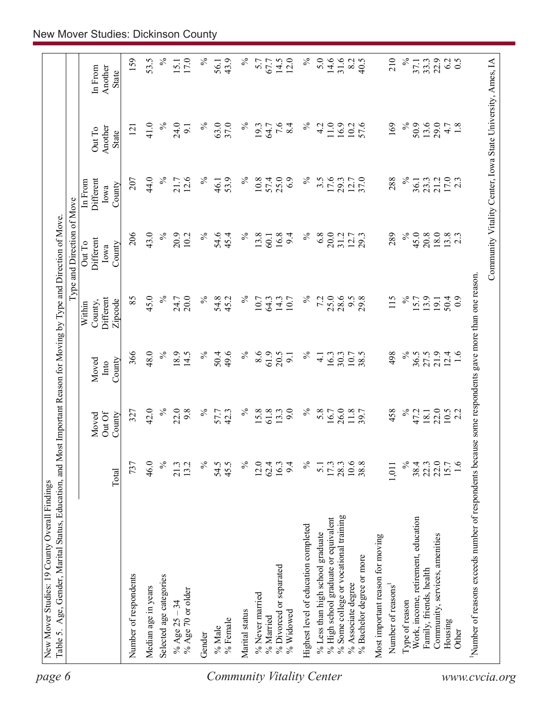| State<br>$\%$<br>24.0<br>$\%$<br>37.0<br>$\%$<br>$7.6$<br>8.4<br>$\%$<br>169<br>$\%$<br>50.9<br>13.6<br>29.0<br>41.0<br>63.0<br>11.0<br>16.9<br>57.6<br>1.8<br>19.3<br>4.2<br>10.2<br>4.7<br>9.1<br>64.7<br>121<br>Another<br>Out To<br><b>State</b><br>$17.0$<br>2.3<br>44.0<br>$\%$<br>25.0<br>17.6<br>$\%$<br>21.7<br>12.6<br>$\%$<br>53.9<br>$\%$<br>10.8<br>57.4<br>6.9<br>$\%$<br>37.0<br>288<br>21.2<br>Different<br>207<br>$3.\overline{5}$<br>29.3<br>12.7<br>23.3<br>36.1<br>In From<br>46.1<br>County<br>Iowa<br>43.0<br>206<br>$\%$<br>$\%$<br>13.8<br>16.8<br>$\%$<br>$\%$<br>45.0<br>18.0<br>$13.8$<br>2.3<br>20.9<br>54.6<br>$\%$<br>6.8<br>20.0<br>289<br>20.8<br>10.2<br>45.4<br>9.4<br>31.2<br>12.7<br>60.1<br>Different<br>Out To<br>County<br>Iowa<br>45.0<br>$\%$<br>85<br>$\%$<br>$\%$<br>25.0<br>28.6<br>$\%$<br>20.0<br>$\%$<br>7.2<br>9.5<br>115<br>24.7<br>54.8<br>14.3<br>29.8<br>13.9<br>50.4<br>45.2<br>10.7<br>15.7<br>$_{0.9}$<br>Different<br>64.3<br>10.7<br>19.1<br>Zipcode<br>County,<br>Within<br>48.0<br>61.9<br>366<br>$\%$<br>18.9<br>14.5<br>$\%$<br>$\%$<br>8.6<br>20.5<br>$\%$<br>$\%$<br>21.9<br>$12.4$<br>1.6<br>50.4<br>49.6<br>30.3<br>10.7<br>38.5<br>498<br>36.5<br>27.5<br>16.3<br>$\overline{9}$<br>$\overline{4}$<br>County<br>Moved<br>Into<br>$\%$<br>$\%$<br>$\%$<br>$\%$<br>42.0<br>22.0<br>9.8<br>$\%$<br>15.8<br>9.0<br>5.8<br>26.0<br>11.8<br>458<br>22.0<br>42.3<br>61.8<br>13.3<br>47.2<br>$10.5$<br>2.2<br>327<br>16.7<br>18.1<br>57.7<br>Out Of<br>County<br>Moved<br>$\%$<br>$\frac{173}{2800}$<br>$\frac{3}{1088}$<br>$\%$<br>22.0<br>737<br>46.0<br>21.3<br>$\%$<br>54.5<br>45.5<br>$\%$<br>16.3<br>$\%$<br>$38.4$<br>$22.3$<br>15.7<br>1.6<br>13.2<br>12.0<br>62.4<br>9.4<br>1,011<br>$\overline{51}$<br>Total<br>% Some college or vocational training<br>% High school graduate or equivalent<br>Work, income, retirement, education<br>Highest level of education completed<br>% Less than high school graduate<br>Community, services, amenities<br>Most important reason for moving<br>% Bachelor degree or more<br>% Divorced or separated<br>Family, friends, health<br>Number of respondents<br>Selected age categories<br>% Associate degree<br>Number of reasons <sup>1</sup><br>Median age in years<br>% Age 70 or older<br>% Never married<br>Type of reason<br>% Age $25 - 34$<br>Marital status<br>% Widowed<br>% Married<br>% Female<br>Housing<br>% Male<br>Other<br>Gender | Number of reasons exceeds number of respondents because some respondents gave more than one reason. |  |  | Type and Direction of Move |  |                    |
|---------------------------------------------------------------------------------------------------------------------------------------------------------------------------------------------------------------------------------------------------------------------------------------------------------------------------------------------------------------------------------------------------------------------------------------------------------------------------------------------------------------------------------------------------------------------------------------------------------------------------------------------------------------------------------------------------------------------------------------------------------------------------------------------------------------------------------------------------------------------------------------------------------------------------------------------------------------------------------------------------------------------------------------------------------------------------------------------------------------------------------------------------------------------------------------------------------------------------------------------------------------------------------------------------------------------------------------------------------------------------------------------------------------------------------------------------------------------------------------------------------------------------------------------------------------------------------------------------------------------------------------------------------------------------------------------------------------------------------------------------------------------------------------------------------------------------------------------------------------------------------------------------------------------------------------------------------------------------------------------------------------------------------------------------------------------------------------------------------------------------------------------------------------------------------------------------------------------------------------------------------------------------------------------------------------------------------------------------------------------------------------------------------------------------------------------------------------|-----------------------------------------------------------------------------------------------------|--|--|----------------------------|--|--------------------|
|                                                                                                                                                                                                                                                                                                                                                                                                                                                                                                                                                                                                                                                                                                                                                                                                                                                                                                                                                                                                                                                                                                                                                                                                                                                                                                                                                                                                                                                                                                                                                                                                                                                                                                                                                                                                                                                                                                                                                                                                                                                                                                                                                                                                                                                                                                                                                                                                                                                               |                                                                                                     |  |  |                            |  | Another<br>In From |
| 53.5                                                                                                                                                                                                                                                                                                                                                                                                                                                                                                                                                                                                                                                                                                                                                                                                                                                                                                                                                                                                                                                                                                                                                                                                                                                                                                                                                                                                                                                                                                                                                                                                                                                                                                                                                                                                                                                                                                                                                                                                                                                                                                                                                                                                                                                                                                                                                                                                                                                          |                                                                                                     |  |  |                            |  | 159                |
|                                                                                                                                                                                                                                                                                                                                                                                                                                                                                                                                                                                                                                                                                                                                                                                                                                                                                                                                                                                                                                                                                                                                                                                                                                                                                                                                                                                                                                                                                                                                                                                                                                                                                                                                                                                                                                                                                                                                                                                                                                                                                                                                                                                                                                                                                                                                                                                                                                                               |                                                                                                     |  |  |                            |  |                    |
|                                                                                                                                                                                                                                                                                                                                                                                                                                                                                                                                                                                                                                                                                                                                                                                                                                                                                                                                                                                                                                                                                                                                                                                                                                                                                                                                                                                                                                                                                                                                                                                                                                                                                                                                                                                                                                                                                                                                                                                                                                                                                                                                                                                                                                                                                                                                                                                                                                                               |                                                                                                     |  |  |                            |  | $\%$               |
| $\%$<br>14.6<br>31.6<br>$\%$<br>℅<br>$\%$<br>5.7<br>14.5<br>12.0<br>5.0<br>8.2<br>40.5<br>210<br>6.2<br>0.5<br>43.9<br>22.9<br>67.7<br>33.3<br>56.1<br>37.1                                                                                                                                                                                                                                                                                                                                                                                                                                                                                                                                                                                                                                                                                                                                                                                                                                                                                                                                                                                                                                                                                                                                                                                                                                                                                                                                                                                                                                                                                                                                                                                                                                                                                                                                                                                                                                                                                                                                                                                                                                                                                                                                                                                                                                                                                                   |                                                                                                     |  |  |                            |  | 17.0<br>15.1       |
|                                                                                                                                                                                                                                                                                                                                                                                                                                                                                                                                                                                                                                                                                                                                                                                                                                                                                                                                                                                                                                                                                                                                                                                                                                                                                                                                                                                                                                                                                                                                                                                                                                                                                                                                                                                                                                                                                                                                                                                                                                                                                                                                                                                                                                                                                                                                                                                                                                                               |                                                                                                     |  |  |                            |  |                    |
|                                                                                                                                                                                                                                                                                                                                                                                                                                                                                                                                                                                                                                                                                                                                                                                                                                                                                                                                                                                                                                                                                                                                                                                                                                                                                                                                                                                                                                                                                                                                                                                                                                                                                                                                                                                                                                                                                                                                                                                                                                                                                                                                                                                                                                                                                                                                                                                                                                                               |                                                                                                     |  |  |                            |  |                    |
|                                                                                                                                                                                                                                                                                                                                                                                                                                                                                                                                                                                                                                                                                                                                                                                                                                                                                                                                                                                                                                                                                                                                                                                                                                                                                                                                                                                                                                                                                                                                                                                                                                                                                                                                                                                                                                                                                                                                                                                                                                                                                                                                                                                                                                                                                                                                                                                                                                                               |                                                                                                     |  |  |                            |  |                    |
|                                                                                                                                                                                                                                                                                                                                                                                                                                                                                                                                                                                                                                                                                                                                                                                                                                                                                                                                                                                                                                                                                                                                                                                                                                                                                                                                                                                                                                                                                                                                                                                                                                                                                                                                                                                                                                                                                                                                                                                                                                                                                                                                                                                                                                                                                                                                                                                                                                                               |                                                                                                     |  |  |                            |  |                    |
|                                                                                                                                                                                                                                                                                                                                                                                                                                                                                                                                                                                                                                                                                                                                                                                                                                                                                                                                                                                                                                                                                                                                                                                                                                                                                                                                                                                                                                                                                                                                                                                                                                                                                                                                                                                                                                                                                                                                                                                                                                                                                                                                                                                                                                                                                                                                                                                                                                                               |                                                                                                     |  |  |                            |  |                    |
|                                                                                                                                                                                                                                                                                                                                                                                                                                                                                                                                                                                                                                                                                                                                                                                                                                                                                                                                                                                                                                                                                                                                                                                                                                                                                                                                                                                                                                                                                                                                                                                                                                                                                                                                                                                                                                                                                                                                                                                                                                                                                                                                                                                                                                                                                                                                                                                                                                                               |                                                                                                     |  |  |                            |  |                    |
|                                                                                                                                                                                                                                                                                                                                                                                                                                                                                                                                                                                                                                                                                                                                                                                                                                                                                                                                                                                                                                                                                                                                                                                                                                                                                                                                                                                                                                                                                                                                                                                                                                                                                                                                                                                                                                                                                                                                                                                                                                                                                                                                                                                                                                                                                                                                                                                                                                                               |                                                                                                     |  |  |                            |  |                    |
|                                                                                                                                                                                                                                                                                                                                                                                                                                                                                                                                                                                                                                                                                                                                                                                                                                                                                                                                                                                                                                                                                                                                                                                                                                                                                                                                                                                                                                                                                                                                                                                                                                                                                                                                                                                                                                                                                                                                                                                                                                                                                                                                                                                                                                                                                                                                                                                                                                                               |                                                                                                     |  |  |                            |  |                    |
|                                                                                                                                                                                                                                                                                                                                                                                                                                                                                                                                                                                                                                                                                                                                                                                                                                                                                                                                                                                                                                                                                                                                                                                                                                                                                                                                                                                                                                                                                                                                                                                                                                                                                                                                                                                                                                                                                                                                                                                                                                                                                                                                                                                                                                                                                                                                                                                                                                                               |                                                                                                     |  |  |                            |  |                    |
|                                                                                                                                                                                                                                                                                                                                                                                                                                                                                                                                                                                                                                                                                                                                                                                                                                                                                                                                                                                                                                                                                                                                                                                                                                                                                                                                                                                                                                                                                                                                                                                                                                                                                                                                                                                                                                                                                                                                                                                                                                                                                                                                                                                                                                                                                                                                                                                                                                                               |                                                                                                     |  |  |                            |  |                    |
|                                                                                                                                                                                                                                                                                                                                                                                                                                                                                                                                                                                                                                                                                                                                                                                                                                                                                                                                                                                                                                                                                                                                                                                                                                                                                                                                                                                                                                                                                                                                                                                                                                                                                                                                                                                                                                                                                                                                                                                                                                                                                                                                                                                                                                                                                                                                                                                                                                                               |                                                                                                     |  |  |                            |  |                    |
|                                                                                                                                                                                                                                                                                                                                                                                                                                                                                                                                                                                                                                                                                                                                                                                                                                                                                                                                                                                                                                                                                                                                                                                                                                                                                                                                                                                                                                                                                                                                                                                                                                                                                                                                                                                                                                                                                                                                                                                                                                                                                                                                                                                                                                                                                                                                                                                                                                                               |                                                                                                     |  |  |                            |  |                    |
|                                                                                                                                                                                                                                                                                                                                                                                                                                                                                                                                                                                                                                                                                                                                                                                                                                                                                                                                                                                                                                                                                                                                                                                                                                                                                                                                                                                                                                                                                                                                                                                                                                                                                                                                                                                                                                                                                                                                                                                                                                                                                                                                                                                                                                                                                                                                                                                                                                                               |                                                                                                     |  |  |                            |  |                    |
|                                                                                                                                                                                                                                                                                                                                                                                                                                                                                                                                                                                                                                                                                                                                                                                                                                                                                                                                                                                                                                                                                                                                                                                                                                                                                                                                                                                                                                                                                                                                                                                                                                                                                                                                                                                                                                                                                                                                                                                                                                                                                                                                                                                                                                                                                                                                                                                                                                                               |                                                                                                     |  |  |                            |  |                    |
|                                                                                                                                                                                                                                                                                                                                                                                                                                                                                                                                                                                                                                                                                                                                                                                                                                                                                                                                                                                                                                                                                                                                                                                                                                                                                                                                                                                                                                                                                                                                                                                                                                                                                                                                                                                                                                                                                                                                                                                                                                                                                                                                                                                                                                                                                                                                                                                                                                                               |                                                                                                     |  |  |                            |  |                    |
|                                                                                                                                                                                                                                                                                                                                                                                                                                                                                                                                                                                                                                                                                                                                                                                                                                                                                                                                                                                                                                                                                                                                                                                                                                                                                                                                                                                                                                                                                                                                                                                                                                                                                                                                                                                                                                                                                                                                                                                                                                                                                                                                                                                                                                                                                                                                                                                                                                                               |                                                                                                     |  |  |                            |  |                    |
|                                                                                                                                                                                                                                                                                                                                                                                                                                                                                                                                                                                                                                                                                                                                                                                                                                                                                                                                                                                                                                                                                                                                                                                                                                                                                                                                                                                                                                                                                                                                                                                                                                                                                                                                                                                                                                                                                                                                                                                                                                                                                                                                                                                                                                                                                                                                                                                                                                                               |                                                                                                     |  |  |                            |  |                    |
|                                                                                                                                                                                                                                                                                                                                                                                                                                                                                                                                                                                                                                                                                                                                                                                                                                                                                                                                                                                                                                                                                                                                                                                                                                                                                                                                                                                                                                                                                                                                                                                                                                                                                                                                                                                                                                                                                                                                                                                                                                                                                                                                                                                                                                                                                                                                                                                                                                                               |                                                                                                     |  |  |                            |  |                    |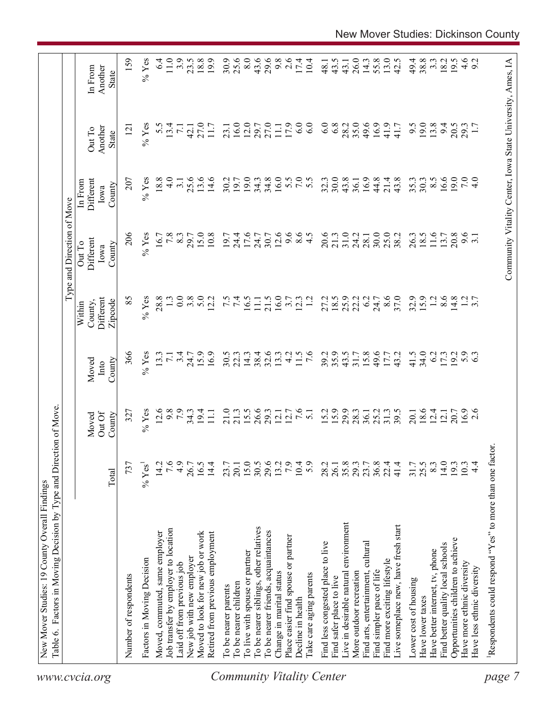| www.cvcia.org                    | Table 6. Factors in Moving Decision by Type and Direction of Move. |                  |                           |                         | Within                          | Type and Direction of Move<br>Out To | In From                     |                                                            |                                    |
|----------------------------------|--------------------------------------------------------------------|------------------|---------------------------|-------------------------|---------------------------------|--------------------------------------|-----------------------------|------------------------------------------------------------|------------------------------------|
|                                  |                                                                    | Total            | Out Of<br>County<br>Moved | County<br>Moved<br>Into | Different<br>Zipcode<br>County, | Different<br>County<br>Iowa          | Different<br>County<br>Iowa | Another<br>Out To<br>State                                 | Another<br>In From<br><b>State</b> |
|                                  | Number of respondents                                              | 737              | 327                       | 366                     | 85                              | 206                                  | 207                         | $\overline{121}$                                           | 159                                |
|                                  | Factors in Moving Decision                                         | $%$ Yes          | $%$ Yes                   | $%$ Yes                 | $%$ Yes                         | $%$ Yes                              | $%$ Yes                     | $%$ Yes                                                    | $%$ Yes                            |
|                                  | Moved, commuted, same employer                                     | 14.2             | 12.6                      | 13.3                    | 28.8                            | 16.7                                 | 18.8                        | 5.5                                                        | $6\dot{4}$                         |
|                                  | Job transfer by employer to location                               | 7.6              | 9.8                       | $\overline{7.1}$        |                                 | 7.8                                  | $\frac{0}{4}$               | 13.4                                                       | $11.0$                             |
|                                  | Laid off from previous job                                         | 4.9              | 7.9                       | 3.4                     | 0.0                             | 8.3                                  | $\overline{3}$ .            | $\overline{7.1}$                                           | 3.9                                |
|                                  | New job with new employer                                          | 26.7             |                           | 24.7                    | 3.8                             | 29.7                                 | 25.6                        | 42.1                                                       | 23.5                               |
|                                  | Moved to look for new job or work                                  | 16.5             | $34.3$<br>19.4            | 15.9                    | 5.0                             | 15.0                                 | 13.6                        | 27.0                                                       | 18.8                               |
|                                  | Retired from previous employment                                   | 14.4             | $\overline{111}$          | 16.9                    | 12.2                            | 10.8                                 | 14.6                        | 11.7                                                       | 19.9                               |
|                                  | To be nearer parents                                               | 23.7             | 21.0                      | 30.5                    |                                 | 19.7                                 | 30.2                        | 23.1                                                       | 30.9                               |
|                                  | To be nearer children                                              | 20.1             | 21.3                      | 22.3                    | 7.5                             | 24.4                                 | 19.7                        | 16.0                                                       | 25.6                               |
|                                  | To live with spouse or partner                                     |                  | 15.5                      | 14.3                    | 16.5                            | 17.6                                 | 19.0                        | 12.0                                                       | 8.0                                |
|                                  | To be nearer siblings, other relatives                             | 15.0<br>30.5     | 26.6                      | 38.4                    | $\Box$                          | 24.7                                 | 34.3                        | 29.7                                                       | 43.6                               |
|                                  | To be nearer friends, acquaintances                                | 29.6             | 29.3                      | 32.6                    | 21.5                            | 30.7                                 | 34.8                        | 27.0                                                       | 29.6                               |
|                                  | Change in marital status                                           | 13.2             | 12.1                      | 13.3                    | 16.0                            | 12.6                                 | 16.0                        | 11.1                                                       | 9.8                                |
|                                  | Place easier find spouse or partner                                | 7.9              | 12.7                      | 4.2                     | 3.7                             | 9.6                                  |                             | 17.9                                                       | 2.6                                |
|                                  | Decline in health                                                  | 10.4             | 7.6                       | 11.5                    | 12.3                            | 8.5                                  | 5.5                         | 6.0                                                        | 17.4                               |
| <b>Community Vitality Center</b> | Take care aging parents                                            | 5.9              | $\overline{51}$           | $\frac{6}{7}$           |                                 |                                      | 5.5                         | 6.0                                                        | 10.4                               |
|                                  | Find less congested place to live                                  | 28.2             | 15.2                      | 39.2                    | 27.2                            | 20.6                                 | 32.3                        | 6.0                                                        | 48.1                               |
|                                  | Find safer place to live                                           | 26.1             | 15.9                      | 35.9                    |                                 | 21.3                                 | 30.0                        | 6.8                                                        | 43.5                               |
|                                  | Live in desirable natural environment                              | 35.8             | 29.9                      | 43.5                    | $18.5$<br>25.9                  | 31.0                                 | 43.8                        | 28.2                                                       | 43.1                               |
|                                  | More outdoor recreation                                            | 29.3             | 28.3                      | $31.7$<br>$15.8$        | 22.2                            | 24.2                                 | 36.1                        | 35.0                                                       | 26.0                               |
|                                  | Find arts, entertainment, cultural                                 | 23.7             | 36.1                      |                         | 6.2                             | 28.1                                 | 16.9                        | 49.6                                                       | 14.3                               |
|                                  | Find simpler pace of life                                          | $36.8$<br>$22.4$ | 25.2                      | 49.6                    | 24.7                            | 30.0                                 | 44.8                        | 16.9                                                       | 55.8                               |
|                                  | Find more exciting lifestyle                                       |                  | 31.3                      | 17.7                    | 8.6                             | 25.0                                 | 21.4                        | 41.9                                                       | 13.0                               |
|                                  | Live someplace new, have fresh start                               | 41.4             | 39.5                      | 43.2                    | 37.0                            | 38.2                                 | 43.8                        | 41.7                                                       | 42.5                               |
|                                  | Lower cost of housing                                              | 31.7             | 20.1                      | 41.5                    | 32.9                            | 26.3                                 | 35.3                        | 9.5                                                        | 49.4                               |
|                                  | Have lower taxes                                                   | 25.5             | 18.6                      | 34.0                    | 15.9                            | 18.5                                 | 30.3                        | 19.0                                                       | 38.8                               |
|                                  | Have better internet, tv, phone                                    | 8.3              | 12.4                      | 6.2                     | 1.2                             | 11.6                                 | $8.\overline{5}$            | 13.8                                                       | $3.\overline{3}$                   |
|                                  | Find better quality local schools                                  | 14.0             | 12.1                      | 17.3                    | 8.6                             | 13.7                                 | 16.6                        | 9.4                                                        | 18.2                               |
|                                  | Opportunities children to achieve                                  | 19.3             |                           | 19.2                    | 14.8                            | 20.8                                 | 19.0                        | 20.5                                                       | 19.5                               |
|                                  | Have more ethnic diversity                                         | 10.3             | 20.7<br>16.9              | $5.9$<br>6.3            |                                 | $9.\overline{6}$<br>3.1              | 7.0                         | 29.3                                                       |                                    |
|                                  | Have less ethnic diversity                                         | $4\overline{4}$  | 2.6                       |                         | $\frac{2}{3}$ .7                |                                      | 4.0                         |                                                            | $4.6$<br>9.2                       |
| page                             | Respondents could respond "Yes" to more than one factor            |                  |                           |                         |                                 |                                      |                             |                                                            |                                    |
|                                  |                                                                    |                  |                           |                         |                                 |                                      |                             |                                                            |                                    |
|                                  |                                                                    |                  |                           |                         |                                 |                                      |                             | Community Vitality Center, Iowa State University, Ames, IA |                                    |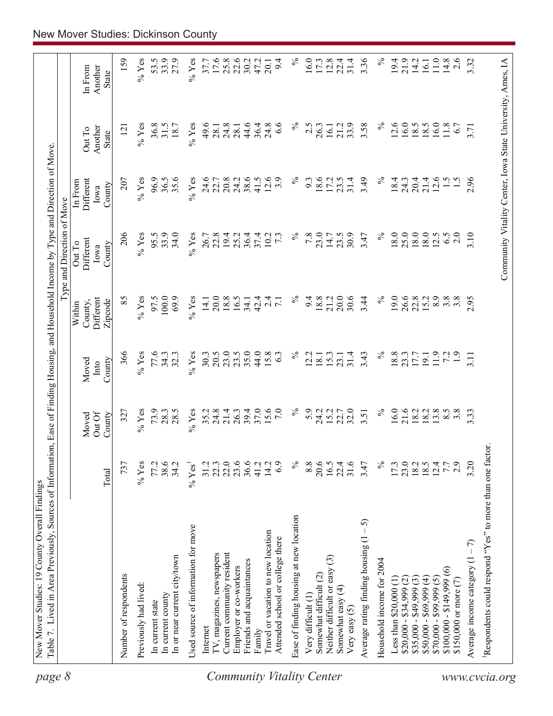| page 8                    |                                                                        |                      |                           |                         |                                           | Type and Direction of Move                                 |                                        |                            |                             |
|---------------------------|------------------------------------------------------------------------|----------------------|---------------------------|-------------------------|-------------------------------------------|------------------------------------------------------------|----------------------------------------|----------------------------|-----------------------------|
|                           |                                                                        | Total                | Out Of<br>County<br>Moved | County<br>Moved<br>Into | Different<br>Zipcode<br>County,<br>Within | Different<br>Out To<br>County<br>Iowa                      | Different<br>In From<br>County<br>Iowa | Another<br>Out To<br>State | In From<br>Another<br>State |
|                           | Number of respondents                                                  | 737                  | 327                       | 366                     | 85                                        | 206                                                        | 207                                    | $\overline{5}$             | 159                         |
|                           | Previously had lived:                                                  | $%$ Yes              | $%$ Yes                   | $%$ Yes                 | $%$ Yes                                   | $%$ Yes                                                    | $%$ Yes                                | $\%$ Yes                   | $%$ Yes                     |
|                           | In current state                                                       | 77.2                 | 73.9                      | 77.6                    | 97.5                                      | 95.5                                                       | 96.9                                   | 36.8                       | 53.5                        |
|                           | In current county                                                      | 38.6                 | 28.3                      | 34.3                    | 100.0                                     | 33.9                                                       | 36.5                                   | 31.5                       | 33.9                        |
|                           | In or near current city/town                                           | 34.2                 | 28.5                      | 32.3                    | 69.9                                      | 34.0                                                       | 35.6                                   | 18.7                       | 27.9                        |
|                           | Used source of information for move                                    | $%$ Yes <sup>1</sup> | $%$ Yes                   | $%$ Yes                 | $\%$ Yes                                  | $%$ Yes                                                    | $%$ Yes                                | $%$ Yes                    | $%$ Yes                     |
|                           | Internet                                                               | 31.2                 |                           | 30.3                    | 14.1                                      | 26.7                                                       | 24.6                                   | 49.6                       | 37.7                        |
|                           | TV, magazines, newspapers                                              | 22.3                 | $35.2$<br>$24.8$          | 20.5                    | 20.0                                      | 22.8                                                       | 22.7                                   | 28.1                       | 17.6                        |
|                           | Current community resident                                             | 22.0                 | 21.4                      | 23.0                    | 18.8                                      | 19.4                                                       | 20.8                                   | 24.8                       | $25.8$<br>$22.6$            |
|                           | Employer or co-workers                                                 | 23.6                 | 26.3                      | 23.5                    | 16.5                                      | 25.2                                                       | 24.2                                   | 28.                        |                             |
|                           | Friends and acquaintances                                              | 36.6                 | 39.4                      | 35.0                    | 34.1                                      | 36.4                                                       | 38.6                                   | 44.6                       | 30.2                        |
|                           | Family                                                                 | 41.2                 | 37.0                      | 44.0                    | 42.4                                      | 37.4                                                       | 41.5                                   | 36.4                       | 47.2                        |
| Community Vitality Center | Travel or vacation to new location<br>Attended school or college there | 14.2<br>6.9          | 15.6<br>7.0               | 15.8<br>63              | 2.4<br>$\overline{7.1}$                   | 10.2<br>$7\cdot3$                                          | 12.6<br>3.9                            | 24.8<br>6.6                | 9.4<br>20.1                 |
|                           | Ease of finding housing at new location                                | $\%$                 | $\%$                      | $\%$                    | $\%$                                      | $\%$                                                       | $\%$                                   | $\%$                       | $\%$                        |
|                           | Very difficult (1)                                                     | 8.8                  | 5.9                       | 12.2                    | 9.4                                       | 7.8                                                        | 9.3                                    | 2.5                        | 16.0                        |
|                           | Somewhat difficult (2)                                                 | 20.6                 | 24.2                      | 18.1                    | 18.8                                      | 23.0                                                       | 18.6                                   | 26.3                       | 17.3                        |
|                           | Neither difficult or easy (3)                                          | 16.5                 | 15.2                      | 15.3                    | 21.2                                      | 14.7                                                       | 17.2                                   | 16.1                       | 12.8                        |
|                           | Somewhat easy (4)<br>Very easy $(5)$                                   | 31.6<br>22.4         | 32.0<br>22.7              | 31.4<br>23.1            | 20.0<br>30.6                              | 30.9<br>23.5                                               | 31.4<br>23.5                           | 33.9<br>21.2               | 22.4<br>31.4                |
|                           | 5<br>Average rating finding housing (1                                 | 3.47                 | 3.51                      | 3.43                    | 3.44                                      | 3.47                                                       | 3.49                                   | 3.58                       | 3.36                        |
|                           | Household income for 2004                                              | $\%$                 | $\%$                      | $\%$                    | $\%$                                      | $\%$                                                       | $\%$                                   | $\%$                       | $\%$                        |
|                           | Less than $$20,000$ $(1)$                                              | 17.3                 | 16.0                      | 18.8                    | 19.0                                      | 18.0                                                       | 18.4                                   | 12.6                       | 19.4                        |
|                           | $$20,000 - $34,999 (2)$                                                | 23.0                 | 21.6                      | 23.3                    | 26.6                                      | 25.0                                                       | 24.3                                   | 16.0                       | 21.9                        |
|                           | $$35,000 - $49,999(3)$                                                 |                      | 18.2                      |                         | 22.8                                      | 18.0                                                       | 20.4                                   | 18.5                       | 14.2                        |
|                           | $$50,000 - $69,999 (4)$                                                | 18.5                 | 18.2                      | 19.1                    | 15.2                                      | 18.0                                                       | 21.4                                   | 18.5                       | 16.1                        |
|                           | $$70,000 - $99,999(5)$                                                 | 12.4                 | 13.8                      | 11.9                    | 8.9                                       | 12.5                                                       | 12.6                                   | 16.0                       | 11.0                        |
|                           | $\widehat{\circ}$<br>$$100,000 - $149,999$                             | 7.7                  | $8.\overline{5}$          | 72                      | $3.\overline{8}$                          | 6.5                                                        | $\frac{1}{5}$                          | 11.8                       | 14.8                        |
|                           | \$150,000 or more $(7)$                                                | 2.9                  | $3.\overline{8}$          | $\overline{1.9}$        | 3.8                                       | 2.0                                                        |                                        | 6.7                        | 2.6                         |
|                           | Average income category $(1 - 7)$                                      | 3.20                 | 3.33                      | 3.11                    | 2.95                                      | 3.10                                                       | 2.96                                   | 3.71                       | 3.32                        |
| www.cvcia.org             | Respondents could respond "Yes" to more than one factor.               |                      |                           |                         |                                           |                                                            |                                        |                            |                             |
|                           |                                                                        |                      |                           |                         |                                           | Community Vitality Center, Iowa State University, Ames, IA |                                        |                            |                             |
|                           |                                                                        |                      |                           |                         |                                           |                                                            |                                        |                            |                             |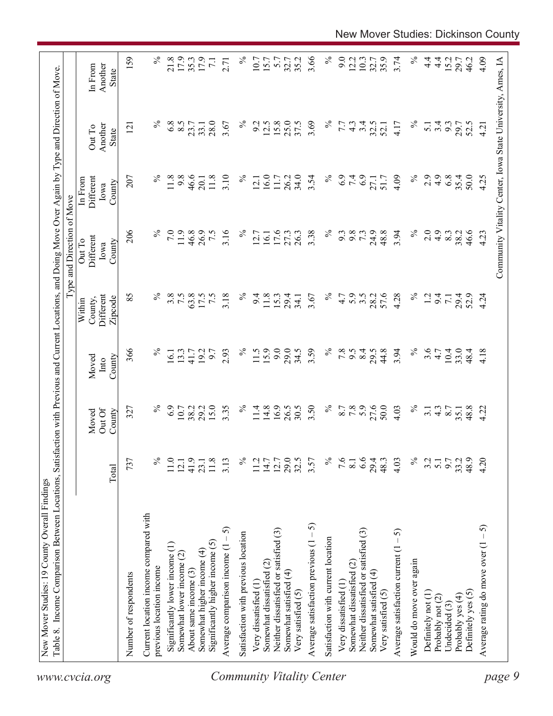| $\%$<br>4.9<br>35.4<br>207<br>$\%$<br>9.8<br>46.6<br>11.8<br>3.10<br>$\%$<br>16.0<br>26.2<br>34.0<br>$\%$<br>6.9<br>7.4<br>4.09<br>2.9<br>6.8<br>50.0<br>Different<br>11.8<br>11.7<br>3.54<br>27.1<br>51.7<br>12.1<br>20.1<br>In From<br>County<br>Iowa<br>206<br>24.9<br>48.8<br>3.94<br>$\%$<br>7.0<br>11.9<br>46.8<br>26.9<br>7.5<br>3.16<br>$\%$<br>16.1<br>17.6<br>$\%$<br>9.8<br>2.0<br>4.9<br>46.6<br>27.3<br>26.3<br>3.38<br>9.3<br>73<br>8.3<br>38.2<br>12.7<br>Different<br>Out To<br>County<br>Iowa<br>85<br>℅<br>$\%$<br>57.6<br>$\%$<br>3.8<br>7.5<br>63.8<br>7.5<br>3.18<br>$\%$<br>28.2<br>4.28<br>17.5<br>11.8<br>15.3<br>4.7<br>5.9<br>$3.\overline{5}$<br>$\overline{12}$<br>Different<br>9.4<br>29.4<br>3.67<br>9.4<br>29.4<br>52.9<br>$\overline{7.1}$<br>34.1<br>County,<br>Zipcode<br>Within<br>9.0<br>366<br>$\%$<br>$\%$<br>15.9<br>29.0<br>3.59<br>$\%$<br>$7.8$<br>8.4<br>44.8<br>3.94<br>$\%$<br>3.6<br>4.7<br>10.4<br>13.3<br>19.2<br>9.7<br>2.93<br>11.5<br>34.5<br>9.5<br>29.5<br>33.0<br>48.4<br>16.1<br>41.7<br>County<br>Moved<br>$\mathbf{Int} \mathbf{O}$<br>16.9<br>$\%$<br>27.6<br>$\%$<br>6.9<br>15.0<br>3.35<br>$\%$<br>3.50<br>5.9<br>50.0<br>$\%$<br>10.7<br>38.2<br>29.2<br>11.4<br>14.8<br>26.5<br>30.5<br>8.7<br>7.8<br>4.03<br>48.8<br>327<br>$4.\overline{3}$<br>8.7<br>$\overline{3}$ .<br>35.1<br>Out Of<br>Moved<br>County<br>29.5<br>$\%$<br>6.6<br>$\%$<br>737<br>$\%$<br>41.9<br>11.8<br>$\%$<br>12.7<br>7.6<br>29.4<br>9.7<br>33.2<br>48.9<br>11.0<br>3.13<br>11.2<br>14.7<br>3.57<br>8.1<br>48.3<br>4.03<br>3.2<br>5.1<br>12.1<br>23.1<br>Total<br>Current location income compared with<br>Average satisfaction previous $(1 - 5)$<br>Average comparison income $(1 - 5)$<br>Neither dissatisfied or satisfied (3)<br>Neither dissatisfied or satisfied (3)<br>Average satisfaction current $(1 - 5)$<br>Satisfaction with previous location<br>Satisfaction with current location<br>Significantly higher income $(5)$<br>Significantly lower income (1)<br>Somewhat higher income (4)<br>Somewhat lower income (2)<br>Would do move over again<br>Somewhat dissatisfied (2)<br>Somewhat dissatisfied (2)<br>previous location income<br>About same income (3)<br>Somewhat satisfied (4)<br>Somewhat satisfied (4)<br>Number of respondents<br>Very dissatisfied (1<br>Very dissatisfied (1<br>Very satisfied (5)<br>Very satisfied (5)<br>Definitely yes (5)<br>Definitely not (1)<br>Probably yes (4)<br>Probably not (2)<br>Undecided $(3)$ |  |  | Type and Direction of Move |                                   |                                    |
|--------------------------------------------------------------------------------------------------------------------------------------------------------------------------------------------------------------------------------------------------------------------------------------------------------------------------------------------------------------------------------------------------------------------------------------------------------------------------------------------------------------------------------------------------------------------------------------------------------------------------------------------------------------------------------------------------------------------------------------------------------------------------------------------------------------------------------------------------------------------------------------------------------------------------------------------------------------------------------------------------------------------------------------------------------------------------------------------------------------------------------------------------------------------------------------------------------------------------------------------------------------------------------------------------------------------------------------------------------------------------------------------------------------------------------------------------------------------------------------------------------------------------------------------------------------------------------------------------------------------------------------------------------------------------------------------------------------------------------------------------------------------------------------------------------------------------------------------------------------------------------------------------------------------------------------------------------------------------------------------------------------------------------------------------------------------------------------------------------------------------------------------------------------------------------------------------------------------------------------------------------------------------------------------------------------------------------------------------------------------------------------------------------------------------------------------------------------------------------------------------------|--|--|----------------------------|-----------------------------------|------------------------------------|
|                                                                                                                                                                                                                                                                                                                                                                                                                                                                                                                                                                                                                                                                                                                                                                                                                                                                                                                                                                                                                                                                                                                                                                                                                                                                                                                                                                                                                                                                                                                                                                                                                                                                                                                                                                                                                                                                                                                                                                                                                                                                                                                                                                                                                                                                                                                                                                                                                                                                                                        |  |  |                            | Another<br>Out To<br><b>State</b> | Another<br>In From<br><b>State</b> |
|                                                                                                                                                                                                                                                                                                                                                                                                                                                                                                                                                                                                                                                                                                                                                                                                                                                                                                                                                                                                                                                                                                                                                                                                                                                                                                                                                                                                                                                                                                                                                                                                                                                                                                                                                                                                                                                                                                                                                                                                                                                                                                                                                                                                                                                                                                                                                                                                                                                                                                        |  |  |                            | 121                               | 159                                |
|                                                                                                                                                                                                                                                                                                                                                                                                                                                                                                                                                                                                                                                                                                                                                                                                                                                                                                                                                                                                                                                                                                                                                                                                                                                                                                                                                                                                                                                                                                                                                                                                                                                                                                                                                                                                                                                                                                                                                                                                                                                                                                                                                                                                                                                                                                                                                                                                                                                                                                        |  |  |                            |                                   |                                    |
|                                                                                                                                                                                                                                                                                                                                                                                                                                                                                                                                                                                                                                                                                                                                                                                                                                                                                                                                                                                                                                                                                                                                                                                                                                                                                                                                                                                                                                                                                                                                                                                                                                                                                                                                                                                                                                                                                                                                                                                                                                                                                                                                                                                                                                                                                                                                                                                                                                                                                                        |  |  |                            | $\%$                              | $\%$                               |
| <b>Community Vitality Center</b>                                                                                                                                                                                                                                                                                                                                                                                                                                                                                                                                                                                                                                                                                                                                                                                                                                                                                                                                                                                                                                                                                                                                                                                                                                                                                                                                                                                                                                                                                                                                                                                                                                                                                                                                                                                                                                                                                                                                                                                                                                                                                                                                                                                                                                                                                                                                                                                                                                                                       |  |  |                            | 6.8                               | 21.8                               |
|                                                                                                                                                                                                                                                                                                                                                                                                                                                                                                                                                                                                                                                                                                                                                                                                                                                                                                                                                                                                                                                                                                                                                                                                                                                                                                                                                                                                                                                                                                                                                                                                                                                                                                                                                                                                                                                                                                                                                                                                                                                                                                                                                                                                                                                                                                                                                                                                                                                                                                        |  |  |                            | 8.5                               | 17.9                               |
|                                                                                                                                                                                                                                                                                                                                                                                                                                                                                                                                                                                                                                                                                                                                                                                                                                                                                                                                                                                                                                                                                                                                                                                                                                                                                                                                                                                                                                                                                                                                                                                                                                                                                                                                                                                                                                                                                                                                                                                                                                                                                                                                                                                                                                                                                                                                                                                                                                                                                                        |  |  |                            | 23.7                              | 35.3                               |
|                                                                                                                                                                                                                                                                                                                                                                                                                                                                                                                                                                                                                                                                                                                                                                                                                                                                                                                                                                                                                                                                                                                                                                                                                                                                                                                                                                                                                                                                                                                                                                                                                                                                                                                                                                                                                                                                                                                                                                                                                                                                                                                                                                                                                                                                                                                                                                                                                                                                                                        |  |  |                            | 33.1                              | 17.9                               |
|                                                                                                                                                                                                                                                                                                                                                                                                                                                                                                                                                                                                                                                                                                                                                                                                                                                                                                                                                                                                                                                                                                                                                                                                                                                                                                                                                                                                                                                                                                                                                                                                                                                                                                                                                                                                                                                                                                                                                                                                                                                                                                                                                                                                                                                                                                                                                                                                                                                                                                        |  |  |                            | 28.0                              | $\overline{7.1}$                   |
|                                                                                                                                                                                                                                                                                                                                                                                                                                                                                                                                                                                                                                                                                                                                                                                                                                                                                                                                                                                                                                                                                                                                                                                                                                                                                                                                                                                                                                                                                                                                                                                                                                                                                                                                                                                                                                                                                                                                                                                                                                                                                                                                                                                                                                                                                                                                                                                                                                                                                                        |  |  |                            | 3.67                              | 2.71                               |
|                                                                                                                                                                                                                                                                                                                                                                                                                                                                                                                                                                                                                                                                                                                                                                                                                                                                                                                                                                                                                                                                                                                                                                                                                                                                                                                                                                                                                                                                                                                                                                                                                                                                                                                                                                                                                                                                                                                                                                                                                                                                                                                                                                                                                                                                                                                                                                                                                                                                                                        |  |  |                            | $\%$                              | $\%$                               |
|                                                                                                                                                                                                                                                                                                                                                                                                                                                                                                                                                                                                                                                                                                                                                                                                                                                                                                                                                                                                                                                                                                                                                                                                                                                                                                                                                                                                                                                                                                                                                                                                                                                                                                                                                                                                                                                                                                                                                                                                                                                                                                                                                                                                                                                                                                                                                                                                                                                                                                        |  |  |                            | 9.2                               | 10.7                               |
|                                                                                                                                                                                                                                                                                                                                                                                                                                                                                                                                                                                                                                                                                                                                                                                                                                                                                                                                                                                                                                                                                                                                                                                                                                                                                                                                                                                                                                                                                                                                                                                                                                                                                                                                                                                                                                                                                                                                                                                                                                                                                                                                                                                                                                                                                                                                                                                                                                                                                                        |  |  |                            | 12.5                              | 15.7                               |
|                                                                                                                                                                                                                                                                                                                                                                                                                                                                                                                                                                                                                                                                                                                                                                                                                                                                                                                                                                                                                                                                                                                                                                                                                                                                                                                                                                                                                                                                                                                                                                                                                                                                                                                                                                                                                                                                                                                                                                                                                                                                                                                                                                                                                                                                                                                                                                                                                                                                                                        |  |  |                            | 15.8                              | 5.7                                |
|                                                                                                                                                                                                                                                                                                                                                                                                                                                                                                                                                                                                                                                                                                                                                                                                                                                                                                                                                                                                                                                                                                                                                                                                                                                                                                                                                                                                                                                                                                                                                                                                                                                                                                                                                                                                                                                                                                                                                                                                                                                                                                                                                                                                                                                                                                                                                                                                                                                                                                        |  |  |                            | 25.0                              | 32.7                               |
|                                                                                                                                                                                                                                                                                                                                                                                                                                                                                                                                                                                                                                                                                                                                                                                                                                                                                                                                                                                                                                                                                                                                                                                                                                                                                                                                                                                                                                                                                                                                                                                                                                                                                                                                                                                                                                                                                                                                                                                                                                                                                                                                                                                                                                                                                                                                                                                                                                                                                                        |  |  |                            | 37.5                              | 35.2                               |
|                                                                                                                                                                                                                                                                                                                                                                                                                                                                                                                                                                                                                                                                                                                                                                                                                                                                                                                                                                                                                                                                                                                                                                                                                                                                                                                                                                                                                                                                                                                                                                                                                                                                                                                                                                                                                                                                                                                                                                                                                                                                                                                                                                                                                                                                                                                                                                                                                                                                                                        |  |  |                            | 3.69                              | 3.66                               |
|                                                                                                                                                                                                                                                                                                                                                                                                                                                                                                                                                                                                                                                                                                                                                                                                                                                                                                                                                                                                                                                                                                                                                                                                                                                                                                                                                                                                                                                                                                                                                                                                                                                                                                                                                                                                                                                                                                                                                                                                                                                                                                                                                                                                                                                                                                                                                                                                                                                                                                        |  |  |                            | $\%$                              | $\%$                               |
|                                                                                                                                                                                                                                                                                                                                                                                                                                                                                                                                                                                                                                                                                                                                                                                                                                                                                                                                                                                                                                                                                                                                                                                                                                                                                                                                                                                                                                                                                                                                                                                                                                                                                                                                                                                                                                                                                                                                                                                                                                                                                                                                                                                                                                                                                                                                                                                                                                                                                                        |  |  |                            | 7.7                               | 9.0                                |
|                                                                                                                                                                                                                                                                                                                                                                                                                                                                                                                                                                                                                                                                                                                                                                                                                                                                                                                                                                                                                                                                                                                                                                                                                                                                                                                                                                                                                                                                                                                                                                                                                                                                                                                                                                                                                                                                                                                                                                                                                                                                                                                                                                                                                                                                                                                                                                                                                                                                                                        |  |  |                            | $4.\overline{3}$                  | 12.2                               |
|                                                                                                                                                                                                                                                                                                                                                                                                                                                                                                                                                                                                                                                                                                                                                                                                                                                                                                                                                                                                                                                                                                                                                                                                                                                                                                                                                                                                                                                                                                                                                                                                                                                                                                                                                                                                                                                                                                                                                                                                                                                                                                                                                                                                                                                                                                                                                                                                                                                                                                        |  |  |                            | 3.4                               | 10.3                               |
|                                                                                                                                                                                                                                                                                                                                                                                                                                                                                                                                                                                                                                                                                                                                                                                                                                                                                                                                                                                                                                                                                                                                                                                                                                                                                                                                                                                                                                                                                                                                                                                                                                                                                                                                                                                                                                                                                                                                                                                                                                                                                                                                                                                                                                                                                                                                                                                                                                                                                                        |  |  |                            | 32.5                              | 32.7                               |
|                                                                                                                                                                                                                                                                                                                                                                                                                                                                                                                                                                                                                                                                                                                                                                                                                                                                                                                                                                                                                                                                                                                                                                                                                                                                                                                                                                                                                                                                                                                                                                                                                                                                                                                                                                                                                                                                                                                                                                                                                                                                                                                                                                                                                                                                                                                                                                                                                                                                                                        |  |  |                            | 52.1                              | 35.9                               |
|                                                                                                                                                                                                                                                                                                                                                                                                                                                                                                                                                                                                                                                                                                                                                                                                                                                                                                                                                                                                                                                                                                                                                                                                                                                                                                                                                                                                                                                                                                                                                                                                                                                                                                                                                                                                                                                                                                                                                                                                                                                                                                                                                                                                                                                                                                                                                                                                                                                                                                        |  |  |                            | 4.17                              | 3.74                               |
|                                                                                                                                                                                                                                                                                                                                                                                                                                                                                                                                                                                                                                                                                                                                                                                                                                                                                                                                                                                                                                                                                                                                                                                                                                                                                                                                                                                                                                                                                                                                                                                                                                                                                                                                                                                                                                                                                                                                                                                                                                                                                                                                                                                                                                                                                                                                                                                                                                                                                                        |  |  |                            | $\%$                              | $\%$                               |
|                                                                                                                                                                                                                                                                                                                                                                                                                                                                                                                                                                                                                                                                                                                                                                                                                                                                                                                                                                                                                                                                                                                                                                                                                                                                                                                                                                                                                                                                                                                                                                                                                                                                                                                                                                                                                                                                                                                                                                                                                                                                                                                                                                                                                                                                                                                                                                                                                                                                                                        |  |  |                            | $\overline{5.1}$                  | $\frac{4}{4}$                      |
|                                                                                                                                                                                                                                                                                                                                                                                                                                                                                                                                                                                                                                                                                                                                                                                                                                                                                                                                                                                                                                                                                                                                                                                                                                                                                                                                                                                                                                                                                                                                                                                                                                                                                                                                                                                                                                                                                                                                                                                                                                                                                                                                                                                                                                                                                                                                                                                                                                                                                                        |  |  |                            | 3.4                               | $4\cdot$                           |
|                                                                                                                                                                                                                                                                                                                                                                                                                                                                                                                                                                                                                                                                                                                                                                                                                                                                                                                                                                                                                                                                                                                                                                                                                                                                                                                                                                                                                                                                                                                                                                                                                                                                                                                                                                                                                                                                                                                                                                                                                                                                                                                                                                                                                                                                                                                                                                                                                                                                                                        |  |  |                            | 9.3                               | 15.2                               |
|                                                                                                                                                                                                                                                                                                                                                                                                                                                                                                                                                                                                                                                                                                                                                                                                                                                                                                                                                                                                                                                                                                                                                                                                                                                                                                                                                                                                                                                                                                                                                                                                                                                                                                                                                                                                                                                                                                                                                                                                                                                                                                                                                                                                                                                                                                                                                                                                                                                                                                        |  |  |                            | 29.7                              | 29.7                               |
|                                                                                                                                                                                                                                                                                                                                                                                                                                                                                                                                                                                                                                                                                                                                                                                                                                                                                                                                                                                                                                                                                                                                                                                                                                                                                                                                                                                                                                                                                                                                                                                                                                                                                                                                                                                                                                                                                                                                                                                                                                                                                                                                                                                                                                                                                                                                                                                                                                                                                                        |  |  |                            | 52.5                              | 46.2                               |
| 4.25<br>4.23<br>4.24<br>4.18<br>4.22<br>4.20<br>$-5$<br>Average rating do move over (1                                                                                                                                                                                                                                                                                                                                                                                                                                                                                                                                                                                                                                                                                                                                                                                                                                                                                                                                                                                                                                                                                                                                                                                                                                                                                                                                                                                                                                                                                                                                                                                                                                                                                                                                                                                                                                                                                                                                                                                                                                                                                                                                                                                                                                                                                                                                                                                                                 |  |  |                            | 4.21                              | 4.09                               |
| Community Vitality Center, Iowa State University, Ames, IA<br>page 9                                                                                                                                                                                                                                                                                                                                                                                                                                                                                                                                                                                                                                                                                                                                                                                                                                                                                                                                                                                                                                                                                                                                                                                                                                                                                                                                                                                                                                                                                                                                                                                                                                                                                                                                                                                                                                                                                                                                                                                                                                                                                                                                                                                                                                                                                                                                                                                                                                   |  |  |                            |                                   |                                    |